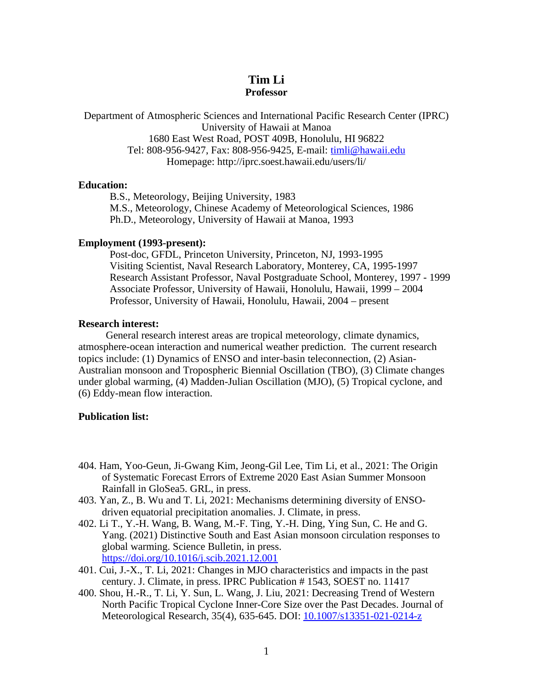# **Tim Li Professor**

Department of Atmospheric Sciences and International Pacific Research Center (IPRC) University of Hawaii at Manoa 1680 East West Road, POST 409B, Honolulu, HI 96822 Tel: 808-956-9427, Fax: 808-956-9425, E-mail: [timli@hawaii.edu](mailto:timli@hawaii.edu) Homepage: http://iprc.soest.hawaii.edu/users/li/

#### **Education:**

B.S., Meteorology, Beijing University, 1983 M.S., Meteorology, Chinese Academy of Meteorological Sciences, 1986 Ph.D., Meteorology, University of Hawaii at Manoa, 1993

#### **Employment (1993-present):**

Post-doc, GFDL, Princeton University, Princeton, NJ, 1993-1995 Visiting Scientist, Naval Research Laboratory, Monterey, CA, 1995-1997 Research Assistant Professor, Naval Postgraduate School, Monterey, 1997 - 1999 Associate Professor, University of Hawaii, Honolulu, Hawaii, 1999 – 2004 Professor, University of Hawaii, Honolulu, Hawaii, 2004 – present

#### **Research interest:**

General research interest areas are tropical meteorology, climate dynamics, atmosphere-ocean interaction and numerical weather prediction. The current research topics include: (1) Dynamics of ENSO and inter-basin teleconnection, (2) Asian-Australian monsoon and Tropospheric Biennial Oscillation (TBO), (3) Climate changes under global warming, (4) Madden-Julian Oscillation (MJO), (5) Tropical cyclone, and (6) Eddy-mean flow interaction.

### **Publication list:**

- 404. Ham, Yoo‐Geun, Ji‐Gwang Kim, Jeong‐Gil Lee, Tim Li, et al., 2021: The Origin of Systematic Forecast Errors of Extreme 2020 East Asian Summer Monsoon Rainfall in GloSea5. GRL, in press.
- 403. Yan, Z., B. Wu and T. Li, 2021: Mechanisms determining diversity of ENSOdriven equatorial precipitation anomalies. J. Climate, in press.
- 402. Li T., Y.-H. Wang, B. Wang, M.-F. Ting, Y.-H. Ding, Ying Sun, C. He and G. Yang. (2021) Distinctive South and East Asian monsoon circulation responses to global warming. Science Bulletin, in press. <https://doi.org/10.1016/j.scib.2021.12.001>
- 401. Cui, J.-X., T. Li, 2021: Changes in MJO characteristics and impacts in the past century. J. Climate, in press. IPRC Publication # 1543, SOEST no. 11417
- 400. Shou, H.-R., T. Li, Y. Sun, L. Wang, J. Liu, 2021: Decreasing Trend of Western North Pacific Tropical Cyclone Inner-Core Size over the Past Decades. Journal of Meteorological Research, 35(4), 635-645. DOI: [10.1007/s13351-021-0214-z](http://dx.doi.org/10.1007/s13351-021-0214-z)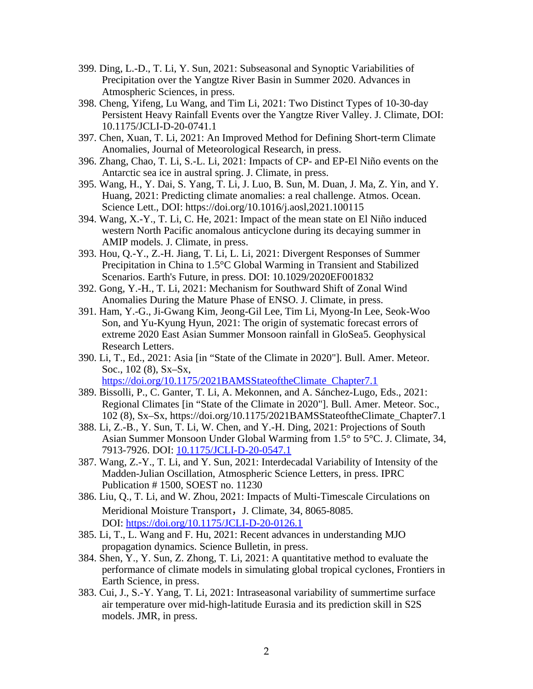- 399. Ding, L.-D., T. Li, Y. Sun, 2021: Subseasonal and Synoptic Variabilities of Precipitation over the Yangtze River Basin in Summer 2020. Advances in Atmospheric Sciences, in press.
- 398. Cheng, Yifeng, Lu Wang, and Tim Li, 2021: Two Distinct Types of 10-30-day Persistent Heavy Rainfall Events over the Yangtze River Valley. J. Climate, DOI: 10.1175/JCLI-D-20-0741.1
- 397. Chen, Xuan, T. Li, 2021: An Improved Method for Defining Short-term Climate Anomalies, Journal of Meteorological Research, in press.
- 396. Zhang, Chao, T. Li, S.-L. Li, 2021: Impacts of CP- and EP-El Niño events on the Antarctic sea ice in austral spring. J. Climate, in press.
- 395. Wang, H., Y. Dai, S. Yang, T. Li, J. Luo, B. Sun, M. Duan, J. Ma, Z. Yin, and Y. Huang, 2021: Predicting climate anomalies: a real challenge. Atmos. Ocean. Science Lett., DOI: https://doi.org/10.1016/j.aosl,2021.100115
- 394. Wang, X.-Y., T. Li, C. He, 2021: Impact of the mean state on El Niño induced western North Pacific anomalous anticyclone during its decaying summer in AMIP models. J. Climate, in press.
- 393. Hou, Q.-Y., Z.-H. Jiang, T. Li, L. Li, 2021: Divergent Responses of Summer Precipitation in China to 1.5°C Global Warming in Transient and Stabilized Scenarios. Earth's Future, in press. DOI: 10.1029/2020EF001832
- 392. Gong, Y.-H., T. Li, 2021: Mechanism for Southward Shift of Zonal Wind Anomalies During the Mature Phase of ENSO. J. Climate, in press.
- 391. Ham, Y.-G., Ji-Gwang Kim, Jeong-Gil Lee, Tim Li, Myong-In Lee, Seok-Woo Son, and Yu-Kyung Hyun, 2021: The origin of systematic forecast errors of extreme 2020 East Asian Summer Monsoon rainfall in GloSea5. Geophysical Research Letters.
- 390. Li, T., Ed., 2021: Asia [in "State of the Climate in 2020"]. Bull. Amer. Meteor. Soc., 102 (8), Sx–Sx,

[https://doi.org/10.1175/2021BAMSStateoftheClimate\\_Chapter7.1](https://doi.org/10.1175/2021BAMSStateoftheClimate_Chapter7.1)

- 389. Bissolli, P., C. Ganter, T. Li, A. Mekonnen, and A. Sánchez-Lugo, Eds., 2021: Regional Climates [in "State of the Climate in 2020"]. Bull. Amer. Meteor. Soc., 102 (8), Sx–Sx, https://doi.org/10.1175/2021BAMSStateoftheClimate\_Chapter7.1
- 388. Li, Z.-B., Y. Sun, T. Li, W. Chen, and Y.-H. Ding, 2021: Projections of South Asian Summer Monsoon Under Global Warming from 1.5° to 5°C. J. Climate, 34, 7913-7926. DOI: [10.1175/JCLI-D-20-0547.1](http://dx.doi.org/10.1175/JCLI-D-20-0547.1)
- 387. Wang, Z.-Y., T. Li, and Y. Sun, 2021: Interdecadal Variability of Intensity of the Madden-Julian Oscillation, Atmospheric Science Letters, in press. IPRC Publication # 1500, SOEST no. 11230
- 386. Liu, Q., T. Li, and W. Zhou, 2021: Impacts of Multi-Timescale Circulations on Meridional Moisture Transport, J. Climate, 34, 8065-8085. DOI: <https://doi.org/10.1175/JCLI-D-20-0126.1>
- 385. Li, T., L. Wang and F. Hu, 2021: Recent advances in understanding MJO propagation dynamics. Science Bulletin, in press.
- 384. Shen, Y., Y. Sun, Z. Zhong, T. Li, 2021: A quantitative method to evaluate the performance of climate models in simulating global tropical cyclones, Frontiers in Earth Science, in press.
- 383. Cui, J., S.-Y. Yang, T. Li, 2021: Intraseasonal variability of summertime surface air temperature over mid-high-latitude Eurasia and its prediction skill in S2S models. JMR, in press.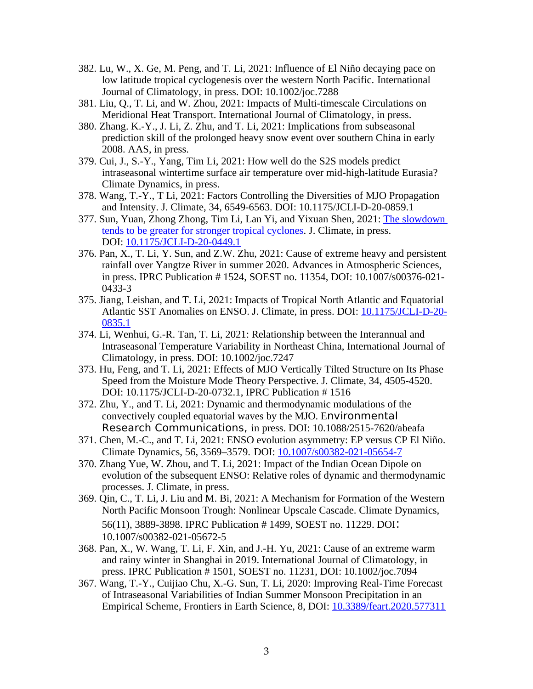- 382. Lu, W., X. Ge, M. Peng, and T. Li, 2021: Influence of El Niño decaying pace on low latitude tropical cyclogenesis over the western North Pacific. International Journal of Climatology, in press. DOI: 10.1002/joc.7288
- 381. Liu, Q., T. Li, and W. Zhou, 2021: Impacts of Multi-timescale Circulations on Meridional Heat Transport. International Journal of Climatology, in press.
- 380. Zhang. K.-Y., J. Li, Z. Zhu, and T. Li, 2021: Implications from subseasonal prediction skill of the prolonged heavy snow event over southern China in early 2008. AAS, in press.
- 379. Cui, J., S.-Y., Yang, Tim Li, 2021: How well do the S2S models predict intraseasonal wintertime surface air temperature over mid-high-latitude Eurasia? Climate Dynamics, in press.
- 378. Wang, T.-Y., T Li, 2021: Factors Controlling the Diversities of MJO Propagation and Intensity. J. Climate, 34, 6549-6563. DOI: 10.1175/JCLI-D-20-0859.1
- 377. Sun, Yuan, Zhong Zhong, Tim Li, Lan Yi, and Yixuan Shen, 2021: [The slowdown](https://journals.ametsoc.org/view/journals/clim/aop/JCLI-D-20-0449.1/JCLI-D-20-0449.1.xml)  [tends to be greater for stronger tropical cyclones.](https://journals.ametsoc.org/view/journals/clim/aop/JCLI-D-20-0449.1/JCLI-D-20-0449.1.xml) J. Climate, in press. DOI: [10.1175/JCLI-D-20-0449.1](https://doi.org/10.1175/JCLI-D-20-0449.1)
- 376. Pan, X., T. Li, Y. Sun, and Z.W. Zhu, 2021: Cause of extreme heavy and persistent rainfall over Yangtze River in summer 2020. Advances in Atmospheric Sciences, in press. IPRC Publication # 1524, SOEST no. 11354, DOI: 10.1007/s00376-021- 0433-3
- 375. Jiang, Leishan, and T. Li, 2021: Impacts of Tropical North Atlantic and Equatorial Atlantic SST Anomalies on ENSO. J. Climate, in press. DOI: [10.1175/JCLI-D-20-](https://doi.org/10.1175/JCLI-D-20-0835.1) [0835.1](https://doi.org/10.1175/JCLI-D-20-0835.1)
- 374. Li, Wenhui, G.-R. Tan, T. Li, 2021: Relationship between the Interannual and Intraseasonal Temperature Variability in Northeast China, International Journal of Climatology, in press. DOI: 10.1002/joc.7247
- 373. Hu, Feng, and T. Li, 2021: Effects of MJO Vertically Tilted Structure on Its Phase Speed from the Moisture Mode Theory Perspective. J. Climate, 34, 4505-4520. DOI: 10.1175/JCLI-D-20-0732.1, IPRC Publication # 1516
- 372. Zhu, Y., and T. Li, 2021: Dynamic and thermodynamic modulations of the convectively coupled equatorial waves by the MJO. Environmental Research Communications, in press. DOI: 10.1088/2515-7620/abeafa
- 371. Chen, M.-C., and T. Li, 2021: ENSO evolution asymmetry: EP versus CP El Niño. Climate Dynamics, 56, 3569–3579. DOI: [10.1007/s00382-021-05654-7](http://doi.org/10.1007/s00382-021-05654-7)
- 370. Zhang Yue, W. Zhou, and T. Li, 2021: Impact of the Indian Ocean Dipole on evolution of the subsequent ENSO: Relative roles of dynamic and thermodynamic processes. J. Climate, in press.
- 369. Qin, C., T. Li, J. Liu and M. Bi, 2021: A Mechanism for Formation of the Western North Pacific Monsoon Trough: Nonlinear Upscale Cascade. Climate Dynamics, 56(11), 3889-3898. IPRC Publication # 1499, SOEST no. 11229. DOI: 10.1007/s00382-021-05672-5
- 368. Pan, X., W. Wang, T. Li, F. Xin, and J.-H. Yu, 2021: Cause of an extreme warm and rainy winter in Shanghai in 2019. International Journal of Climatology, in press. IPRC Publication # 1501, SOEST no. 11231, DOI: 10.1002/joc.7094
- 367. Wang, T.-Y., Cuijiao Chu, X.-G. Sun, T. Li, 2020: Improving Real-Time Forecast of Intraseasonal Variabilities of Indian Summer Monsoon Precipitation in an Empirical Scheme, Frontiers in Earth Science, 8, DOI: [10.3389/feart.2020.577311](http://dx.doi.org/10.3389/feart.2020.577311)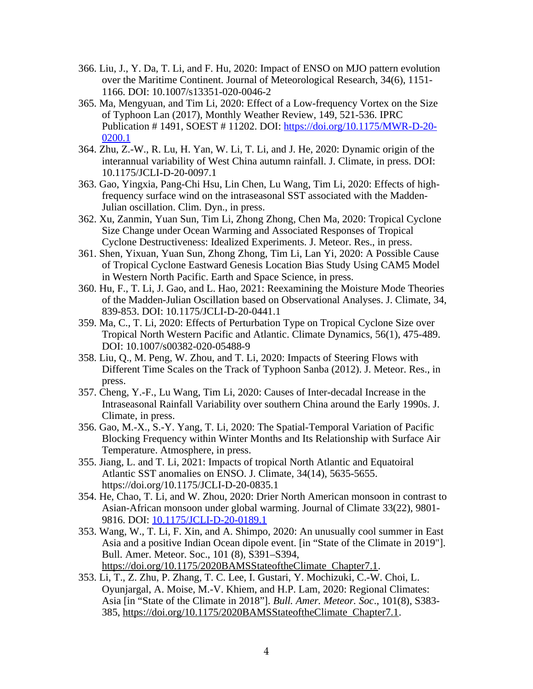- 366. Liu, J., Y. Da, T. Li, and F. Hu, 2020: Impact of ENSO on MJO pattern evolution over the Maritime Continent. Journal of Meteorological Research, 34(6), 1151- 1166. DOI: 10.1007/s13351-020-0046-2
- 365. Ma, Mengyuan, and Tim Li, 2020: Effect of a Low-frequency Vortex on the Size of Typhoon Lan (2017), Monthly Weather Review, 149, 521-536. IPRC Publication # 1491, SOEST # 11202. DOI: [https://doi.org/10.1175/MWR-D-20-](https://doi.org/10.1175/MWR-D-20-0200.1) [0200.1](https://doi.org/10.1175/MWR-D-20-0200.1)
- 364. Zhu, Z.-W., R. Lu, H. Yan, W. Li, T. Li, and J. He, 2020: Dynamic origin of the interannual variability of West China autumn rainfall. J. Climate, in press. DOI: 10.1175/JCLI-D-20-0097.1
- 363. Gao, Yingxia, Pang-Chi Hsu, Lin Chen, Lu Wang, Tim Li, 2020: Effects of highfrequency surface wind on the intraseasonal SST associated with the Madden-Julian oscillation. Clim. Dyn., in press.
- 362. Xu, Zanmin, Yuan Sun, Tim Li, Zhong Zhong, Chen Ma, 2020: Tropical Cyclone Size Change under Ocean Warming and Associated Responses of Tropical Cyclone Destructiveness: Idealized Experiments. J. Meteor. Res., in press.
- 361. Shen, Yixuan, Yuan Sun, Zhong Zhong, Tim Li, Lan Yi, 2020: A Possible Cause of Tropical Cyclone Eastward Genesis Location Bias Study Using CAM5 Model in Western North Pacific. Earth and Space Science, in press.
- 360. Hu, F., T. Li, J. Gao, and L. Hao, 2021: Reexamining the Moisture Mode Theories of the Madden-Julian Oscillation based on Observational Analyses. J. Climate, 34, 839-853. DOI: 10.1175/JCLI-D-20-0441.1
- 359. Ma, C., T. Li, 2020: Effects of Perturbation Type on Tropical Cyclone Size over Tropical North Western Pacific and Atlantic. Climate Dynamics, 56(1), 475-489. DOI: 10.1007/s00382-020-05488-9
- 358. Liu, Q., M. Peng, W. Zhou, and T. Li, 2020: Impacts of Steering Flows with Different Time Scales on the Track of Typhoon Sanba (2012). J. Meteor. Res., in press.
- 357. Cheng, Y.-F., Lu Wang, Tim Li, 2020: Causes of Inter-decadal Increase in the Intraseasonal Rainfall Variability over southern China around the Early 1990s. J. Climate, in press.
- 356. Gao, M.-X., S.-Y. Yang, T. Li, 2020: The Spatial-Temporal Variation of Pacific Blocking Frequency within Winter Months and Its Relationship with Surface Air Temperature. Atmosphere, in press.
- 355. Jiang, L. and T. Li, 2021: Impacts of tropical North Atlantic and Equatoiral Atlantic SST anomalies on ENSO. J. Climate, 34(14), 5635-5655. https://doi.org/10.1175/JCLI-D-20-0835.1
- 354. He, Chao, T. Li, and W. Zhou, 2020: Drier North American monsoon in contrast to Asian-African monsoon under global warming. Journal of Climate 33(22), 9801- 9816. DOI: [10.1175/JCLI-D-20-0189.1](http://dx.doi.org/10.1175/JCLI-D-20-0189.1)
- 353. Wang, W., T. Li, F. Xin, and A. Shimpo, 2020: An unusually cool summer in East Asia and a positive Indian Ocean dipole event. [in "State of the Climate in 2019"]. Bull. Amer. Meteor. Soc., 101 (8), S391–S394, [https://doi.org/10.1175/2020BAMSStateoftheClimate\\_Chapter7.1](https://doi.org/10.1175/2020BAMSStateoftheClimate_Chapter7.1).
- 353. Li, T., Z. Zhu, P. Zhang, T. C. Lee, I. Gustari, Y. Mochizuki, C.-W. Choi, L. Oyunjargal, A. Moise, M.-V. Khiem, and H.P. Lam, 2020: Regional Climates: Asia [in "State of the Climate in 2018"]. *Bull. Amer. Meteor. Soc*., 101(8), S383 385, [https://doi.org/10.1175/2020BAMSStateoftheClimate\\_Chapter7.1](https://doi.org/10.1175/2020BAMSStateoftheClimate_Chapter7.1).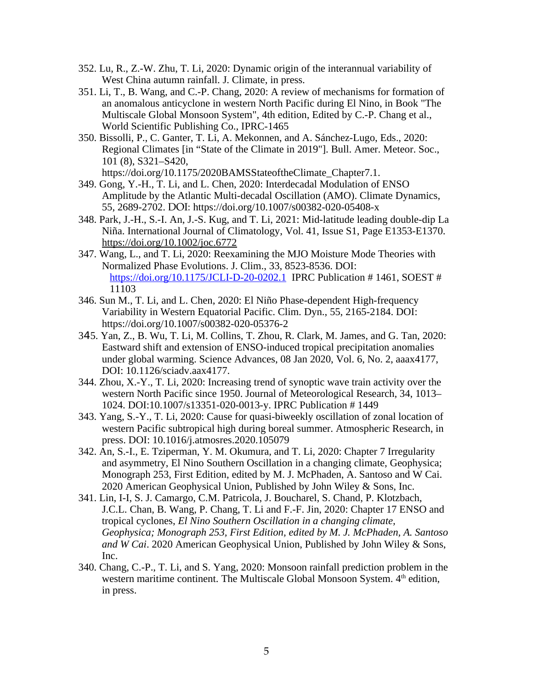- 352. Lu, R., Z.-W. Zhu, T. Li, 2020: Dynamic origin of the interannual variability of West China autumn rainfall. J. Climate, in press.
- 351. Li, T., B. Wang, and C.-P. Chang, 2020: A review of mechanisms for formation of an anomalous anticyclone in western North Pacific during El Nino, in Book "The Multiscale Global Monsoon System", 4th edition, Edited by C.-P. Chang et al., World Scientific Publishing Co., IPRC-1465
- 350. Bissolli, P., C. Ganter, T. Li, A. Mekonnen, and A. Sánchez-Lugo, Eds., 2020: Regional Climates [in "State of the Climate in 2019"]. Bull. Amer. Meteor. Soc., 101 (8), S321–S420,

https://doi.org/10.1175/2020BAMSStateoftheClimate\_Chapter7.1.

- 349. Gong, Y.-H., T. Li, and L. Chen, 2020: Interdecadal Modulation of ENSO Amplitude by the Atlantic Multi-decadal Oscillation (AMO). Climate Dynamics, 55, 2689-2702. DOI: https://doi.org/10.1007/s00382-020-05408-x
- 348. Park, J.-H., S.-I. An, J.-S. Kug, and T. Li, 2021: Mid-latitude leading double-dip La Niña. International Journal of Climatology, Vol. 41, Issue S1, Page E1353-E1370. <https://doi.org/10.1002/joc.6772>
- 347. Wang, L., and T. Li, 2020: Reexamining the MJO Moisture Mode Theories with Normalized Phase Evolutions. J. Clim., 33, 8523-8536. DOI: <https://doi.org/10.1175/JCLI-D-20-0202.1> IPRC Publication # 1461, SOEST # 11103
- 346. Sun M., T. Li, and L. Chen, 2020: El Niño Phase-dependent High-frequency Variability in Western Equatorial Pacific. Clim. Dyn., 55, 2165-2184. DOI: https://doi.org/10.1007/s00382-020-05376-2
- 345. Yan, Z., B. Wu, T. Li, M. Collins, T. Zhou, R. Clark, M. James, and G. Tan, 2020: Eastward shift and extension of ENSO-induced tropical precipitation anomalies under global warming. Science Advances, 08 Jan 2020, Vol. 6, No. 2, aaax4177, DOI: 10.1126/sciadv.aax4177.
- 344. Zhou, X.-Y., T. Li, 2020: Increasing trend of synoptic wave train activity over the western North Pacific since 1950. Journal of Meteorological Research, 34, 1013– 1024. DOI:10.1007/s13351-020-0013-y. IPRC Publication # 1449
- 343. Yang, S.-Y., T. Li, 2020: Cause for quasi-biweekly oscillation of zonal location of western Pacific subtropical high during boreal summer. Atmospheric Research, in press. DOI: 10.1016/j.atmosres.2020.105079
- 342. An, S.-I., E. Tziperman, Y. M. Okumura, and T. Li, 2020: Chapter 7 Irregularity and asymmetry, El Nino Southern Oscillation in a changing climate, Geophysica; Monograph 253, First Edition, edited by M. J. McPhaden, A. Santoso and W Cai. 2020 American Geophysical Union, Published by John Wiley & Sons, Inc.
- 341. Lin, I-I, S. J. Camargo, C.M. Patricola, J. Boucharel, S. Chand, P. Klotzbach, J.C.L. Chan, B. Wang, P. Chang, T. Li and F.-F. Jin, 2020: Chapter 17 ENSO and tropical cyclones, *El Nino Southern Oscillation in a changing climate, Geophysica; Monograph 253, First Edition, edited by M. J. McPhaden, A. Santoso and W Cai*. 2020 American Geophysical Union, Published by John Wiley & Sons, Inc.
- 340. Chang, C.-P., T. Li, and S. Yang, 2020: Monsoon rainfall prediction problem in the western maritime continent. The Multiscale Global Monsoon System. 4<sup>th</sup> edition, in press.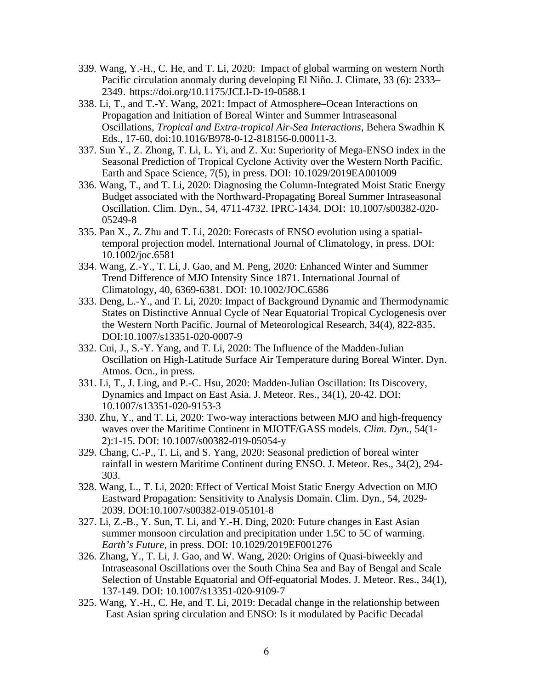- 339. Wang, Y.-H., C. He, and T. Li, 2020: Impact of global warming on western North Pacific circulation anomaly during developing El Niño. J. Climate, 33 (6): 2333– 2349. https://doi.org/10.1175/JCLI-D-19-0588.1
- 338. Li, T., and T.-Y. Wang, 2021: Impact of Atmosphere–Ocean Interactions on Propagation and Initiation of Boreal Winter and Summer Intraseasonal Oscillations, *Tropical and Extra-tropical Air-Sea Interactions*, Behera Swadhin K Eds., 17-60, doi:10.1016/B978-0-12-818156-0.00011-3.
- 337. Sun Y., Z. Zhong, T. Li, L. Yi, and Z. Xu: Superiority of Mega-ENSO index in the Seasonal Prediction of Tropical Cyclone Activity over the Western North Pacific. Earth and Space Science, 7(5), in press. DOI: 10.1029/2019EA001009
- 336. Wang, T., and T. Li, 2020: Diagnosing the Column-Integrated Moist Static Energy Budget associated with the Northward-Propagating Boreal Summer Intraseasonal Oscillation. Clim. Dyn., 54, 4711-4732. IPRC-1434. DOI: 10.1007/s00382-020- 05249-8
- 335. Pan X., Z. Zhu and T. Li, 2020: Forecasts of ENSO evolution using a spatialtemporal projection model. International Journal of Climatology, in press. DOI: 10.1002/joc.6581
- 334. Wang, Z.-Y., T. Li, J. Gao, and M. Peng, 2020: Enhanced Winter and Summer Trend Difference of MJO Intensity Since 1871. International Journal of Climatology, 40, 6369-6381. DOI: 10.1002/JOC.6586
- 333. Deng, L.-Y., and T. Li, 2020: Impact of Background Dynamic and Thermodynamic States on Distinctive Annual Cycle of Near Equatorial Tropical Cyclogenesis over the Western North Pacific. Journal of Meteorological Research, 34(4), 822-835. DOI:10.1007/s13351-020-0007-9
- 332. Cui, J., S.-Y. Yang, and T. Li, 2020: The Influence of the Madden-Julian Oscillation on High-Latitude Surface Air Temperature during Boreal Winter. Dyn. Atmos. Ocn., in press.
- 331. Li, T., J. Ling, and P.-C. Hsu, 2020: Madden-Julian Oscillation: Its Discovery, Dynamics and Impact on East Asia. J. Meteor. Res., 34(1), 20-42. DOI: 10.1007/s13351-020-9153-3
- 330. Zhu, Y., and T. Li, 2020: Two-way interactions between MJO and high-frequency waves over the Maritime Continent in MJOTF/GASS models. *Clim. Dyn.*, 54(1- 2):1-15. DOI: 10.1007/s00382-019-05054-y
- 329. Chang, C.-P., T. Li, and S. Yang, 2020: Seasonal prediction of boreal winter rainfall in western Maritime Continent during ENSO. J. Meteor. Res., 34(2), 294- 303.
- 328. Wang, L., T. Li, 2020: Effect of Vertical Moist Static Energy Advection on MJO Eastward Propagation: Sensitivity to Analysis Domain. Clim. Dyn., 54, 2029- 2039. DOI:10.1007/s00382-019-05101-8
- 327. Li, Z.-B., Y. Sun, T. Li, and Y.-H. Ding, 2020: Future changes in East Asian summer monsoon circulation and precipitation under 1.5C to 5C of warming. *Earth's Future*, in press. DOI: 10.1029/2019EF001276
- 326. Zhang, Y., T. Li, J. Gao, and W. Wang, 2020: Origins of Quasi-biweekly and Intraseasonal Oscillations over the South China Sea and Bay of Bengal and Scale Selection of Unstable Equatorial and Off-equatorial Modes. J. Meteor. Res., 34(1), 137-149. DOI: 10.1007/s13351-020-9109-7
- 325. Wang, Y.-H., C. He, and T. Li, 2019: Decadal change in the relationship between East Asian spring circulation and ENSO: Is it modulated by Pacific Decadal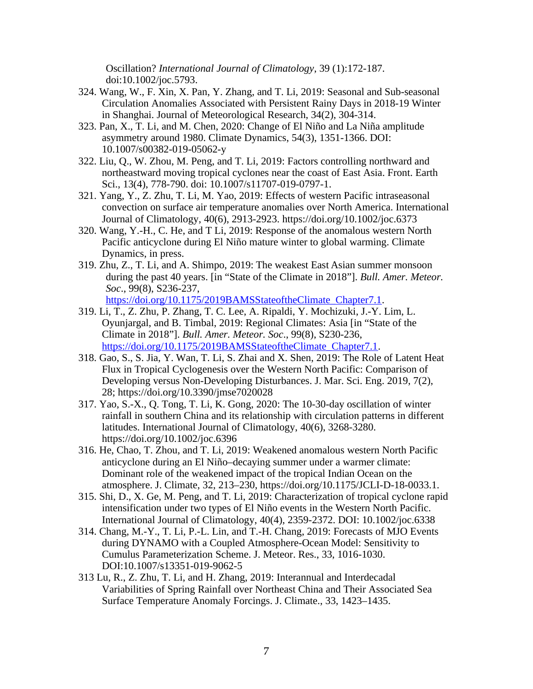Oscillation? *International Journal of Climatology*, 39 (1):172-187. doi:10.1002/joc.5793.

- 324. Wang, W., F. Xin, X. Pan, Y. Zhang, and T. Li, 2019: Seasonal and Sub-seasonal Circulation Anomalies Associated with Persistent Rainy Days in 2018-19 Winter in Shanghai. Journal of Meteorological Research, 34(2), 304-314.
- 323. Pan, X., T. Li, and M. Chen, 2020: Change of El Niño and La Niña amplitude asymmetry around 1980. Climate Dynamics, 54(3), 1351-1366. DOI: 10.1007/s00382-019-05062-y
- 322. Liu, Q., W. Zhou, M. Peng, and T. Li, 2019: Factors controlling northward and northeastward moving tropical cyclones near the coast of East Asia. Front. Earth Sci., 13(4), 778-790. doi: 10.1007/s11707-019-0797-1.
- 321. Yang, Y., Z. Zhu, T. Li, M. Yao, 2019: Effects of western Pacific intraseasonal convection on surface air temperature anomalies over North America. International Journal of Climatology, 40(6), 2913-2923. https://doi.org/10.1002/joc.6373
- 320. Wang, Y.-H., C. He, and T Li, 2019: Response of the anomalous western North Pacific anticyclone during El Niño mature winter to global warming. Climate Dynamics, in press.
- 319. Zhu, Z., T. Li, and A. Shimpo, 2019: The weakest East Asian summer monsoon during the past 40 years. [in "State of the Climate in 2018"]. *Bull. Amer. Meteor. Soc*., 99(8), S236-237,

[https://doi.org/10.1175/2019BAMSStateoftheClimate\\_Chapter7.1.](https://doi.org/10.1175/2019BAMSStateoftheClimate_Chapter7.1)

- 319. Li, T., Z. Zhu, P. Zhang, T. C. Lee, A. Ripaldi, Y. Mochizuki, J.-Y. Lim, L. Oyunjargal, and B. Timbal, 2019: Regional Climates: Asia [in "State of the Climate in 2018"]. *Bull. Amer. Meteor. Soc*., 99(8), S230-236, [https://doi.org/10.1175/2019BAMSStateoftheClimate\\_Chapter7.1](https://doi.org/10.1175/2019BAMSStateoftheClimate_Chapter7.1).
- 318. Gao, S., S. Jia, Y. Wan, T. Li, S. Zhai and X. Shen, 2019: The Role of Latent Heat Flux in Tropical Cyclogenesis over the Western North Pacific: Comparison of Developing versus Non-Developing Disturbances. J. Mar. Sci. Eng. 2019, 7(2), 28; https://doi.org/10.3390/jmse7020028
- 317. Yao, S.-X., Q. Tong, T. Li, K. Gong, 2020: The 10-30-day oscillation of winter rainfall in southern China and its relationship with circulation patterns in different latitudes. International Journal of Climatology, 40(6), 3268-3280. https://doi.org/10.1002/joc.6396
- 316. He, Chao, T. Zhou, and T. Li, 2019: Weakened anomalous western North Pacific anticyclone during an El Niño–decaying summer under a warmer climate: Dominant role of the weakened impact of the tropical Indian Ocean on the atmosphere. J. Climate, 32, 213–230, https://doi.org/10.1175/JCLI-D-18-0033.1.
- 315. Shi, D., X. Ge, M. Peng, and T. Li, 2019: Characterization of tropical cyclone rapid intensification under two types of El Niño events in the Western North Pacific. International Journal of Climatology, 40(4), 2359-2372. DOI: 10.1002/joc.6338
- 314. Chang, M.-Y., T. Li, P.-L. Lin, and T.-H. Chang, 2019: Forecasts of MJO Events during DYNAMO with a Coupled Atmosphere-Ocean Model: Sensitivity to Cumulus Parameterization Scheme. J. Meteor. Res., 33, 1016-1030. DOI:10.1007/s13351-019-9062-5
- 313 Lu, R., Z. Zhu, T. Li, and H. Zhang, 2019: Interannual and Interdecadal Variabilities of Spring Rainfall over Northeast China and Their Associated Sea Surface Temperature Anomaly Forcings. J. Climate., 33, 1423–1435.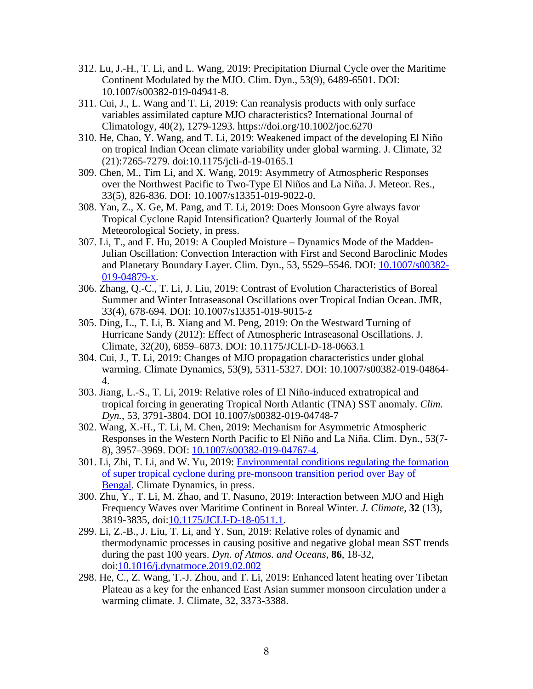- 312. Lu, J.-H., T. Li, and L. Wang, 2019: Precipitation Diurnal Cycle over the Maritime Continent Modulated by the MJO. Clim. Dyn., 53(9), 6489-6501. DOI: 10.1007/s00382-019-04941-8.
- 311. Cui, J., L. Wang and T. Li, 2019: Can reanalysis products with only surface variables assimilated capture MJO characteristics? International Journal of Climatology, 40(2), 1279-1293. https://doi.org/10.1002/joc.6270
- 310. He, Chao, Y. Wang, and T. Li, 2019: Weakened impact of the developing El Niño on tropical Indian Ocean climate variability under global warming. J. Climate, 32 (21):7265-7279. doi:10.1175/jcli-d-19-0165.1
- 309. Chen, M., Tim Li, and X. Wang, 2019: Asymmetry of Atmospheric Responses over the Northwest Pacific to Two-Type El Niños and La Niña. J. Meteor. Res., 33(5), 826-836. DOI: 10.1007/s13351-019-9022-0.
- 308. Yan, Z., X. Ge, M. Pang, and T. Li, 2019: Does Monsoon Gyre always favor Tropical Cyclone Rapid Intensification? Quarterly Journal of the Royal Meteorological Society, in press.
- 307. Li, T., and F. Hu, 2019: A Coupled Moisture Dynamics Mode of the Madden-Julian Oscillation: Convection Interaction with First and Second Baroclinic Modes and Planetary Boundary Layer. Clim. Dyn., 53, 5529–5546. DOI: [10.1007/s00382-](https://ui.adsabs.harvard.edu/link_gateway/2019ClDy...53.5529L/doi:10.1007/s00382-019-04879-x) [019-04879-x](https://ui.adsabs.harvard.edu/link_gateway/2019ClDy...53.5529L/doi:10.1007/s00382-019-04879-x).
- 306. Zhang, Q.-C., T. Li, J. Liu, 2019: Contrast of Evolution Characteristics of Boreal Summer and Winter Intraseasonal Oscillations over Tropical Indian Ocean. JMR, 33(4), 678-694. DOI: 10.1007/s13351-019-9015-z
- 305. Ding, L., T. Li, B. Xiang and M. Peng, 2019: On the Westward Turning of Hurricane Sandy (2012): Effect of Atmospheric Intraseasonal Oscillations. J. Climate, 32(20), 6859–6873. DOI: 10.1175/JCLI-D-18-0663.1
- 304. Cui, J., T. Li, 2019: Changes of MJO propagation characteristics under global warming. Climate Dynamics, 53(9), 5311-5327. DOI: 10.1007/s00382-019-04864- 4.
- 303. Jiang, L.-S., T. Li, 2019: Relative roles of El Niño-induced extratropical and tropical forcing in generating Tropical North Atlantic (TNA) SST anomaly. *Clim. Dyn.*, 53, 3791-3804. DOI 10.1007/s00382-019-04748-7
- 302. Wang, X.-H., T. Li, M. Chen, 2019: Mechanism for Asymmetric Atmospheric Responses in the Western North Pacific to El Niño and La Niña. Clim. Dyn., 53(7- 8), 3957–3969. DOI: [10.1007/s00382-019-04767-4.](https://link.springer.com/article/10.1007/s00382-019-04767-4)
- 301. Li, Zhi, T. Li, and W. Yu, 2019: [Environmental conditions regulating the formation](http://alerts.springer.com/re?l=D0In6ci8aI6ic507yI4m) [of super tropical cyclone during pre-monsoon transition period over Bay of](http://alerts.springer.com/re?l=D0In6ci8aI6ic507yI4m)  [Bengal](http://alerts.springer.com/re?l=D0In6ci8aI6ic507yI4m). Climate Dynamics, in press.
- 300. Zhu, Y., T. Li, M. Zhao, and T. Nasuno, 2019: Interaction between MJO and High Frequency Waves over Maritime Continent in Boreal Winter. *J. Climate*, **32** (13), 3819-3835, doi:[10.1175/JCLI-D-18-0511.1.](http://dx.doi.org/10.1175/JCLI-D-18-0511.1)
- 299. Li, Z.-B., J. Liu, T. Li, and Y. Sun, 2019: Relative roles of dynamic and thermodynamic processes in causing positive and negative global mean SST trends during the past 100 years. *Dyn. of Atmos. and Oceans*, **86**, 18-32, doi:[10.1016/j.dynatmoce.2019.02.002](http://dx.doi.org/10.1016/j.dynatmoce.2019.02.002)
- 298. He, C., Z. Wang, T.-J. Zhou, and T. Li, 2019: Enhanced latent heating over Tibetan Plateau as a key for the enhanced East Asian summer monsoon circulation under a warming climate. J. Climate, 32, 3373-3388.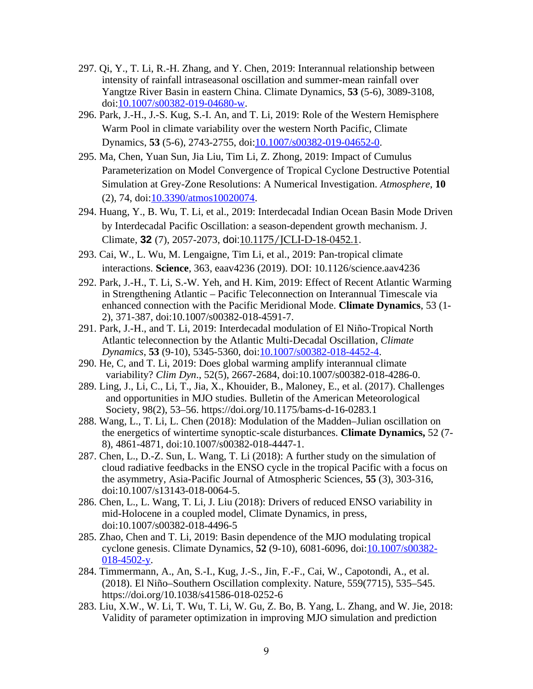- 297. Qi, Y., T. Li, R.-H. Zhang, and Y. Chen, 2019: Interannual relationship between intensity of rainfall intraseasonal oscillation and summer-mean rainfall over Yangtze River Basin in eastern China. Climate Dynamics, **53** (5-6), 3089-3108, doi:[10.1007/s00382-019-04680-w](http://dx.doi.org/10.1007/s00382-019-04680-w).
- 296. Park, J.-H., J.-S. Kug, S.-I. An, and T. Li, 2019: Role of the Western Hemisphere Warm Pool in climate variability over the western North Pacific, Climate Dynamics, **53** (5-6), 2743-2755, doi[:10.1007/s00382-019-04652-0](http://dx.doi.org/10.1007/s00382-019-04652-0).
- 295. Ma, Chen, Yuan Sun, Jia Liu, Tim Li, Z. Zhong, 2019: Impact of Cumulus Parameterization on Model Convergence of Tropical Cyclone Destructive Potential Simulation at Grey-Zone Resolutions: A Numerical Investigation. *Atmosphere*, **10** (2), 74, doi:[10.3390/atmos10020074.](http://dx.doi.org/10.3390/atmos10020074)
- 294. Huang, Y., B. Wu, T. Li, et al., 2019: Interdecadal Indian Ocean Basin Mode Driven by Interdecadal Pacific Oscillation: a season-dependent growth mechanism. J. Climate, **32** (7), 2057-2073, doi:[10.1175/JCLI-D-18-0452.1](http://dx.doi.org/10.1175/JCLI-D-18-0452.1).
- 293. Cai, W., L. Wu, M. Lengaigne, Tim Li, et al., 2019: Pan-tropical climate interactions. **Science**, 363, eaav4236 (2019). DOI: 10.1126/science.aav4236
- 292. Park, J.-H., T. Li, S.-W. Yeh, and H. Kim, 2019: Effect of Recent Atlantic Warming in Strengthening Atlantic – Pacific Teleconnection on Interannual Timescale via enhanced connection with the Pacific Meridional Mode. **Climate Dynamics**, 53 (1- 2), 371-387, doi:10.1007/s00382-018-4591-7.
- 291. Park, J.-H., and T. Li, 2019: Interdecadal modulation of El Niño-Tropical North Atlantic teleconnection by the Atlantic Multi-Decadal Oscillation, *Climate Dynamics*, **53** (9-10), 5345-5360, doi[:10.1007/s00382-018-4452-4](http://dx.doi.org/10.1007/s00382-018-4452-4).
- 290. He, C, and T. Li, 2019: Does global warming amplify interannual climate variability? *Clim Dyn*., 52(5), 2667-2684, doi:10.1007/s00382-018-4286-0.
- 289. Ling, J., Li, C., Li, T., Jia, X., Khouider, B., Maloney, E., et al. (2017). Challenges and opportunities in MJO studies. Bulletin of the American Meteorological Society, 98(2), 53–56. https://doi.org/10.1175/bams-d-16-0283.1
- 288. Wang, L., T. Li, L. Chen (2018): Modulation of the Madden–Julian oscillation on the energetics of wintertime synoptic-scale disturbances. **Climate Dynamics,** 52 (7- 8), 4861-4871, doi:10.1007/s00382-018-4447-1.
- 287. Chen, L., D.-Z. Sun, L. Wang, T. Li (2018): A further study on the simulation of cloud radiative feedbacks in the ENSO cycle in the tropical Pacific with a focus on the asymmetry, Asia-Pacific Journal of Atmospheric Sciences, **55** (3), 303-316, doi:10.1007/s13143-018-0064-5.
- 286. Chen, L., L. Wang, T. Li, J. Liu (2018): Drivers of reduced ENSO variability in mid-Holocene in a coupled model, Climate Dynamics, in press, doi:10.1007/s00382-018-4496-5
- 285. Zhao, Chen and T. Li, 2019: Basin dependence of the MJO modulating tropical cyclone genesis. Climate Dynamics, **52** (9-10), 6081-6096, doi:[10.1007/s00382-](http://dx.doi.org/10.1007/s00382-018-4502-y) [018-4502-y](http://dx.doi.org/10.1007/s00382-018-4502-y).
- 284. Timmermann, A., An, S.-I., Kug, J.-S., Jin, F.-F., Cai, W., Capotondi, A., et al. (2018). El Niño–Southern Oscillation complexity. Nature, 559(7715), 535–545. https://doi.org/10.1038/s41586-018-0252-6
- 283. Liu, X.W., W. Li, T. Wu, T. Li, W. Gu, Z. Bo, B. Yang, L. Zhang, and W. Jie, 2018: Validity of parameter optimization in improving MJO simulation and prediction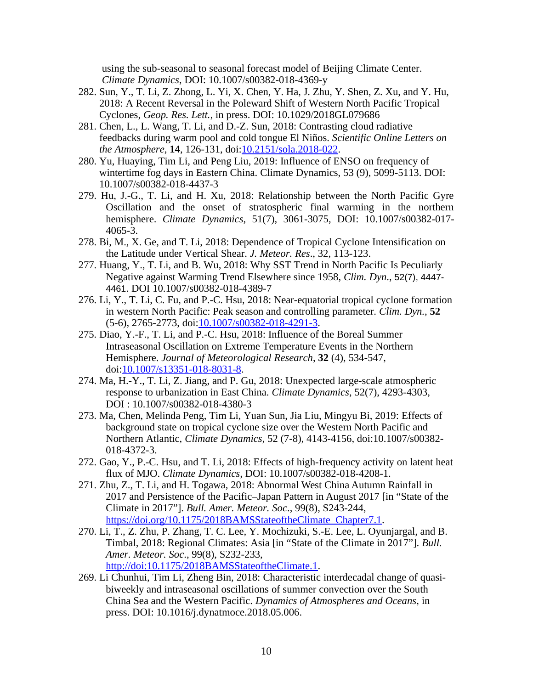using the sub-seasonal to seasonal forecast model of Beijing Climate Center. *Climate Dynamics*, DOI: 10.1007/s00382-018-4369-y

- 282. Sun, Y., T. Li, Z. Zhong, L. Yi, X. Chen, Y. Ha, J. Zhu, Y. Shen, Z. Xu, and Y. Hu, 2018: A Recent Reversal in the Poleward Shift of Western North Pacific Tropical Cyclones, *Geop. Res. Lett.*, in press. DOI: 10.1029/2018GL079686
- 281. Chen, L., L. Wang, T. Li, and D.-Z. Sun, 2018: Contrasting cloud radiative feedbacks during warm pool and cold tongue El Niños. *Scientific Online Letters on the Atmosphere*, **14**, 126-131, doi:[10.2151/sola.2018-022](http://dx.doi.org/10.2151/sola.2018-022).
- 280. Yu, Huaying, Tim Li, and Peng Liu, 2019: Influence of ENSO on frequency of wintertime fog days in Eastern China. Climate Dynamics, 53 (9), 5099-5113. DOI: 10.1007/s00382-018-4437-3
- 279. Hu, J.-G., T. Li, and H. Xu, 2018: Relationship between the North Pacific Gyre Oscillation and the onset of stratospheric final warming in the northern hemisphere. *Climate Dynamics*, 51(7), 3061-3075, DOI: 10.1007/s00382-017- 4065-3.
- 278. Bi, M., X. Ge, and T. Li, 2018: Dependence of Tropical Cyclone Intensification on the Latitude under Vertical Shear. *J. Meteor. Res*., 32, 113-123.
- 277. Huang, Y., T. Li, and B. Wu, 2018: Why SST Trend in North Pacific Is Peculiarly Negative against Warming Trend Elsewhere since 1958, *Clim. Dyn*., 52(7), 4447- 4461. DOI 10.1007/s00382-018-4389-7
- 276. Li, Y., T. Li, C. Fu, and P.-C. Hsu, 2018: Near-equatorial tropical cyclone formation in western North Pacific: Peak season and controlling parameter. *Clim. Dyn.*, **52** (5-6), 2765-2773, doi[:10.1007/s00382-018-4291-3](http://dx.doi.org/10.1007/s00382-018-4291-3).
- 275. Diao, Y.-F., T. Li, and P.-C. Hsu, 2018: Influence of the Boreal Summer Intraseasonal Oscillation on Extreme Temperature Events in the Northern Hemisphere. *Journal of Meteorological Research*, **32** (4), 534-547, doi[:10.1007/s13351-018-8031-8](http://dx.doi.org/10.1007/s13351-018-8031-8).
- 274. Ma, H.-Y., T. Li, Z. Jiang, and P. Gu, 2018: Unexpected large-scale atmospheric response to urbanization in East China. *Climate Dynamics*, 52(7), 4293-4303, DOI : 10.1007/s00382-018-4380-3
- 273. Ma, Chen, Melinda Peng, Tim Li, Yuan Sun, Jia Liu, Mingyu Bi, 2019: Effects of background state on tropical cyclone size over the Western North Pacific and Northern Atlantic, *Climate Dynamics*, 52 (7-8), 4143-4156, doi:10.1007/s00382- 018-4372-3.
- 272. Gao, Y., P.-C. Hsu, and T. Li, 2018: Effects of high-frequency activity on latent heat flux of MJO. *Climate Dynamics,* DOI: 10.1007/s00382-018-4208-1.
- 271. Zhu, Z., T. Li, and H. Togawa, 2018: Abnormal West China Autumn Rainfall in 2017 and Persistence of the Pacific–Japan Pattern in August 2017 [in "State of the Climate in 2017"]. *Bull. Amer. Meteor. Soc*., 99(8), S243-244, https://doi.org/10.1175/2018BAMSStateoftheClimate Chapter7.1.
- 270. Li, T., Z. Zhu, P. Zhang, T. C. Lee, Y. Mochizuki, S.-E. Lee, L. Oyunjargal, and B. Timbal, 2018: Regional Climates: Asia [in "State of the Climate in 2017"]. *Bull. Amer. Meteor. Soc*., 99(8), S232-233, http://doi:10.1175/2018BAMSStateoftheClimate.1.
- 269. Li Chunhui, Tim Li, Zheng Bin, 2018: Characteristic interdecadal change of quasibiweekly and intraseasonal oscillations of summer convection over the South China Sea and the Western Pacific. *Dynamics of Atmospheres and Oceans*, in press. DOI: 10.1016/j.dynatmoce.2018.05.006.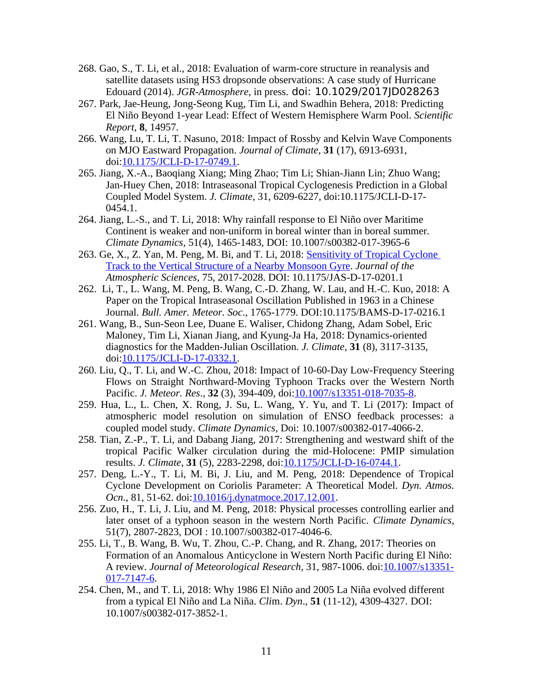- 268. Gao, S., T. Li, et al., 2018: Evaluation of warm-core structure in reanalysis and satellite datasets using HS3 dropsonde observations: A case study of Hurricane Edouard (2014). *JGR-Atmosphere*, in press. doi: 10.1029/2017JD028263
- 267. Park, Jae-Heung, Jong-Seong Kug, Tim Li, and Swadhin Behera, 2018: Predicting El Niño Beyond 1-year Lead: Effect of Western Hemisphere Warm Pool. *Scientific Report*, **8**, 14957.
- 266. Wang, Lu, T. Li, T. Nasuno, 2018: Impact of Rossby and Kelvin Wave Components on MJO Eastward Propagation. *Journal of Climate*, **31** (17), 6913-6931, doi[:10.1175/JCLI-D-17-0749.1](http://dx.doi.org/10.1175/JCLI-D-17-0749.1).
- 265. Jiang, X.-A., Baoqiang Xiang; Ming Zhao; Tim Li; Shian-Jiann Lin; Zhuo Wang; Jan-Huey Chen, 2018: Intraseasonal Tropical Cyclogenesis Prediction in a Global Coupled Model System. *J. Climate*, 31, 6209-6227, doi:10.1175/JCLI-D-17- 0454.1.
- 264. Jiang, L.-S., and T. Li, 2018: Why rainfall response to El Niño over Maritime Continent is weaker and non-uniform in boreal winter than in boreal summer. *Climate Dynamics*, 51(4), 1465-1483, DOI: 10.1007/s00382-017-3965-6
- 263. Ge, X., Z. Yan, M. Peng, M. Bi, and T. Li, 2018: [Sensitivity of Tropical Cyclone](https://www.researchgate.net/publication/323676516_Sensitivity_of_Tropical_Cyclone_Track_to_the_Vertical_Structure_of_a_Nearby_Monsoon_Gyre)  [Track to the Vertical Structure of a Nearby Monsoon Gyre](https://www.researchgate.net/publication/323676516_Sensitivity_of_Tropical_Cyclone_Track_to_the_Vertical_Structure_of_a_Nearby_Monsoon_Gyre). *Journal of the Atmospheric Sciences*, 75, 2017-2028. DOI: 10.1175/JAS-D-17-0201.1
- 262. Li, T., L. Wang, M. Peng, B. Wang, C.-D. Zhang, W. Lau, and H.-C. Kuo, 2018: A Paper on the Tropical Intraseasonal Oscillation Published in 1963 in a Chinese Journal. *Bull. Amer. Meteor. Soc*., 1765-1779. DOI:10.1175/BAMS-D-17-0216.1
- 261. Wang, B., Sun-Seon Lee, Duane E. Waliser, Chidong Zhang, Adam Sobel, Eric Maloney, Tim Li, Xianan Jiang, and Kyung-Ja Ha, 2018: Dynamics-oriented diagnostics for the Madden-Julian Oscillation. *J. Climate*, **31** (8), 3117-3135, doi[:10.1175/JCLI-D-17-0332.1](http://dx.doi.org/10.1175/JCLI-D-17-0332.1).
- 260. Liu, Q., T. Li, and W.-C. Zhou, 2018: Impact of 10-60-Day Low-Frequency Steering Flows on Straight Northward-Moving Typhoon Tracks over the Western North Pacific. *J. Meteor. Res*., **32** (3), 394-409, doi[:10.1007/s13351-018-7035-8](http://dx.doi.org/10.1007/s13351-018-7035-8).
- 259. Hua, L., L. Chen, X. Rong, J. Su, L. Wang, Y. Yu, and T. Li (2017): Impact of atmospheric model resolution on simulation of ENSO feedback processes: a coupled model study. *Climate Dynamics*, Doi: 10.1007/s00382-017-4066-2.
- 258. Tian, Z.-P., T. Li, and Dabang Jiang, 2017: Strengthening and westward shift of the tropical Pacific Walker circulation during the mid-Holocene: PMIP simulation results. *J. Climate*, **31** (5), 2283-2298, doi:[10.1175/JCLI-D-16-0744.1.](http://dx.doi.org/10.1175/JCLI-D-16-0744.1)
- 257. Deng, L.-Y., T. Li, M. Bi, J. Liu, and M. Peng, 2018: Dependence of Tropical Cyclone Development on Coriolis Parameter: A Theoretical Model. *Dyn. Atmos. Ocn*., 81, 51-62. doi[:10.1016/j.dynatmoce.2017.12.001](http://dx.doi.org/10.1016/j.dynatmoce.2017.12.001).
- 256. Zuo, H., T. Li, J. Liu, and M. Peng, 2018: Physical processes controlling earlier and later onset of a typhoon season in the western North Pacific. *Climate Dynamics*, 51(7), 2807-2823, DOI : 10.1007/s00382-017-4046-6.
- 255. Li, T., B. Wang, B. Wu, T. Zhou, C.-P. Chang, and R. Zhang, 2017: Theories on Formation of an Anomalous Anticyclone in Western North Pacific during El Niño: A review. *Journal of Meteorological Research*, 31, 987-1006. doi[:10.1007/s13351-](http://dx.doi.org/10.1007/s13351-017-7147-6) [017-7147-6](http://dx.doi.org/10.1007/s13351-017-7147-6).
- 254. Chen, M., and T. Li, 2018: Why 1986 El Niño and 2005 La Niña evolved different from a typical El Niño and La Niña. *Cli*m. *Dyn*., **51** (11-12), 4309-4327. DOI: 10.1007/s00382-017-3852-1.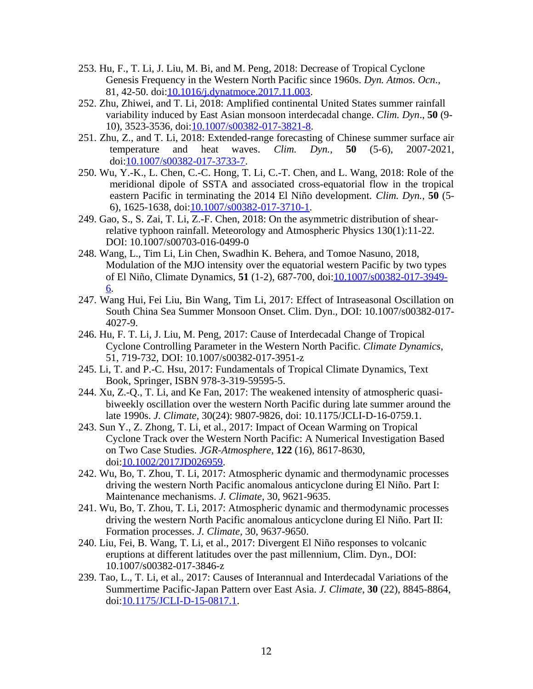- 253. Hu, F., T. Li, J. Liu, M. Bi, and M. Peng, 2018: Decrease of Tropical Cyclone Genesis Frequency in the Western North Pacific since 1960s. *Dyn. Atmos. Ocn*., 81, 42-50. doi[:10.1016/j.dynatmoce.2017.11.003.](http://dx.doi.org/10.1016/j.dynatmoce.2017.11.003)
- 252. Zhu, Zhiwei, and T. Li, 2018: Amplified continental United States summer rainfall variability induced by East Asian monsoon interdecadal change. *Clim. Dyn*., **50** (9- 10), 3523-3536, doi[:10.1007/s00382-017-3821-8](http://dx.doi.org/10.1007/s00382-017-3821-8).
- 251. Zhu, Z., and T. Li, 2018: Extended-range forecasting of Chinese summer surface air temperature and heat waves. *Clim. Dyn.*, **50** (5-6), 2007-2021, doi:[10.1007/s00382-017-3733-7.](http://dx.doi.org/10.1007/s00382-017-3733-7)
- 250. Wu, Y.-K., L. Chen, C.-C. Hong, T. Li, C.-T. Chen, and L. Wang, 2018: Role of the meridional dipole of SSTA and associated cross-equatorial flow in the tropical eastern Pacific in terminating the 2014 El Niño development. *Clim. Dyn.,* **50** (5- 6), 1625-1638, doi:[10.1007/s00382-017-3710-1.](http://dx.doi.org/10.1007/s00382-017-3710-1)
- 249. Gao, S., S. Zai, T. Li, Z.-F. Chen, 2018: On the asymmetric distribution of shearrelative typhoon rainfall. Meteorology and Atmospheric Physics 130(1):11-22. DOI: 10.1007/s00703-016-0499-0
- 248. Wang, L., Tim Li, Lin Chen, Swadhin K. Behera, and Tomoe Nasuno, 2018, Modulation of the MJO intensity over the equatorial western Pacific by two types of El Niño, Climate Dynamics, **51** (1-2), 687-700, doi[:10.1007/s00382-017-3949-](http://dx.doi.org/10.1007/s00382-017-3949-6) [6.](http://dx.doi.org/10.1007/s00382-017-3949-6)
- 247. Wang Hui, Fei Liu, Bin Wang, Tim Li, 2017: Effect of Intraseasonal Oscillation on South China Sea Summer Monsoon Onset. Clim. Dyn., DOI: 10.1007/s00382-017- 4027-9.
- 246. Hu, F. T. Li, J. Liu, M. Peng, 2017: Cause of Interdecadal Change of Tropical Cyclone Controlling Parameter in the Western North Pacific. *Climate Dynamics*, 51, 719-732, DOI: 10.1007/s00382-017-3951-z
- 245. Li, T. and P.-C. Hsu, 2017: Fundamentals of Tropical Climate Dynamics, Text Book, Springer, ISBN 978-3-319-59595-5.
- 244. Xu, Z.-Q., T. Li, and Ke Fan, 2017: The weakened intensity of atmospheric quasibiweekly oscillation over the western North Pacific during late summer around the late 1990s. *J. Climate*, 30(24): 9807-9826, doi: 10.1175/JCLI-D-16-0759.1.
- 243. Sun Y., Z. Zhong, T. Li, et al., 2017: Impact of Ocean Warming on Tropical Cyclone Track over the Western North Pacific: A Numerical Investigation Based on Two Case Studies. *JGR-Atmosphere*, **122** (16), 8617-8630, doi[:10.1002/2017JD026959](http://dx.doi.org/10.1002/2017JD026959).
- 242. Wu, Bo, T. Zhou, T. Li, 2017: Atmospheric dynamic and thermodynamic processes driving the western North Pacific anomalous anticyclone during El Niño. Part I: Maintenance mechanisms. *J. Climate*, 30, 9621-9635.
- 241. Wu, Bo, T. Zhou, T. Li, 2017: Atmospheric dynamic and thermodynamic processes driving the western North Pacific anomalous anticyclone during El Niño. Part II: Formation processes. *J. Climate*, 30, 9637-9650.
- 240. Liu, Fei, B. Wang, T. Li, et al., 2017: Divergent El Niño responses to volcanic eruptions at different latitudes over the past millennium, Clim. Dyn., DOI: 10.1007/s00382-017-3846-z
- 239. Tao, L., T. Li, et al., 2017: Causes of Interannual and Interdecadal Variations of the Summertime Pacific-Japan Pattern over East Asia. *J. Climate*, **30** (22), 8845-8864, doi[:10.1175/JCLI-D-15-0817.1](http://dx.doi.org/10.1175/JCLI-D-15-0817.1).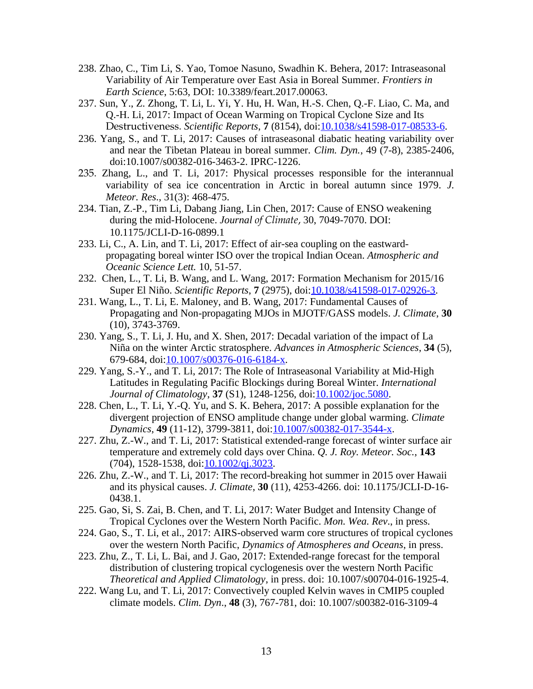- 238. Zhao, C., Tim Li, S. Yao, Tomoe Nasuno, Swadhin K. Behera, 2017: Intraseasonal Variability of Air Temperature over East Asia in Boreal Summer. *Frontiers in Earth Science*, 5:63, DOI: 10.3389/feart.2017.00063.
- 237. Sun, Y., Z. Zhong, T. Li, L. Yi, Y. Hu, H. Wan, H.-S. Chen, Q.-F. Liao, C. Ma, and Q.-H. Li, 2017: Impact of Ocean Warming on Tropical Cyclone Size and Its Destructiveness. *Scientific Reports*, **7** (8154), doi[:10.1038/s41598-017-08533-6](http://dx.doi.org/10.1038/s41598-017-08533-6).
- 236. Yang, S., and T. Li, 2017: Causes of intraseasonal diabatic heating variability over and near the Tibetan Plateau in boreal summer. *Clim. Dyn.*, 49 (7-8), 2385-2406, doi:10.1007/s00382-016-3463-2. IPRC-1226.
- 235. Zhang, L., and T. Li, 2017: Physical processes responsible for the interannual variability of sea ice concentration in Arctic in boreal autumn since 1979. *J. Meteor. Res*., 31(3): 468-475.
- 234. Tian, Z.-P., Tim Li, Dabang Jiang, Lin Chen, 2017: Cause of ENSO weakening during the mid-Holocene. *Journal of Climate*, 30, 7049-7070. DOI: 10.1175/JCLI-D-16-0899.1
- 233. Li, C., A. Lin, and T. Li, 2017: Effect of air-sea coupling on the eastwardpropagating boreal winter ISO over the tropical Indian Ocean. *Atmospheric and Oceanic Science Lett.* 10, 51-57.
- 232. Chen, L., T. Li, B. Wang, and L. Wang, 2017: Formation Mechanism for 2015/16 Super El Niño. *Scientific Reports*, **7** (2975), doi[:10.1038/s41598-017-02926-3](http://dx.doi.org/10.1038/s41598-017-02926-3).
- 231. Wang, L., T. Li, E. Maloney, and B. Wang, 2017: Fundamental Causes of Propagating and Non-propagating MJOs in MJOTF/GASS models. *J. Climate*, **30** (10), 3743-3769.
- 230. Yang, S., T. Li, J. Hu, and X. Shen, 2017: Decadal variation of the impact of La Niña on the winter Arctic stratosphere. *Advances in Atmospheric Sciences*, **34** (5), 679-684, doi:[10.1007/s00376-016-6184-x.](http://dx.doi.org/10.1007/s00376-016-6184-x)
- 229. Yang, S.-Y., and T. Li, 2017: The Role of Intraseasonal Variability at Mid-High Latitudes in Regulating Pacific Blockings during Boreal Winter. *International Journal of Climatology*, **37** (S1), 1248-1256, doi[:10.1002/joc.5080](http://dx.doi.org/10.1002/joc.5080).
- 228. Chen, L., T. Li, Y.-Q. Yu, and S. K. Behera, 2017: A possible explanation for the divergent projection of ENSO amplitude change under global warming. *Climate Dynamics*, **49** (11-12), 3799-3811, doi[:10.1007/s00382-017-3544-x](http://dx.doi.org/10.1007/s00382-017-3544-x).
- 227. Zhu, Z.-W., and T. Li, 2017: Statistical extended-range forecast of winter surface air temperature and extremely cold days over China. *Q. J. Roy. Meteor. Soc.*, **143** (704), 1528-1538, doi:[10.1002/qj.3023](http://dx.doi.org/10.1002/qj.3023).
- 226. Zhu, Z.-W., and T. Li, 2017: The record-breaking hot summer in 2015 over Hawaii and its physical causes. *J. Climate*, **30** (11), 4253-4266. doi: 10.1175/JCLI-D-16- 0438.1.
- 225. Gao, Si, S. Zai, B. Chen, and T. Li, 2017: Water Budget and Intensity Change of Tropical Cyclones over the Western North Pacific. *Mon. Wea. Rev*., in press.
- 224. Gao, S., T. Li, et al., 2017: AIRS-observed warm core structures of tropical cyclones over the western North Pacific, *Dynamics of Atmospheres and Oceans*, in press.
- 223. Zhu, Z., T. Li, L. Bai, and J. Gao, 2017: Extended-range forecast for the temporal distribution of clustering tropical cyclogenesis over the western North Pacific *Theoretical and Applied Climatology*, in press. doi: 10.1007/s00704-016-1925-4.
- 222. Wang Lu, and T. Li, 2017: Convectively coupled Kelvin waves in CMIP5 coupled climate models. *Clim. Dyn*., **48** (3), 767-781, doi: 10.1007/s00382-016-3109-4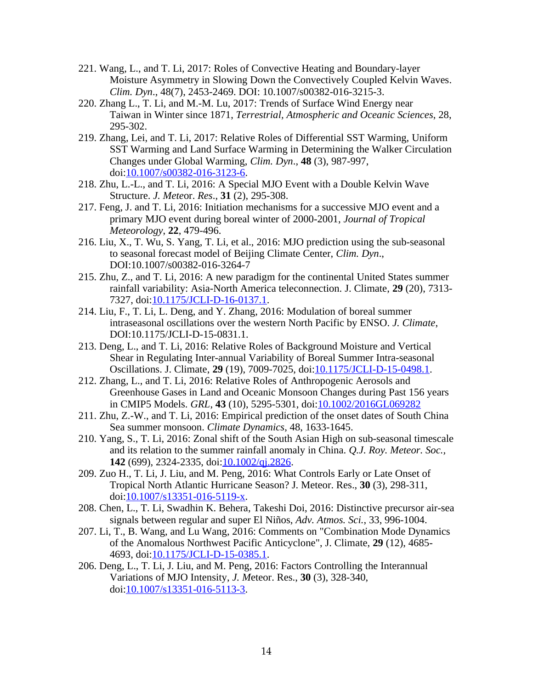- 221. Wang, L., and T. Li, 2017: Roles of Convective Heating and Boundary-layer Moisture Asymmetry in Slowing Down the Convectively Coupled Kelvin Waves. *Clim. Dyn*., 48(7), 2453-2469. DOI: 10.1007/s00382-016-3215-3.
- 220. Zhang L., T. Li, and M.-M. Lu, 2017: Trends of Surface Wind Energy near Taiwan in Winter since 1871, *Terrestrial, Atmospheric and Oceanic Sciences*, 28, 295-302.
- 219. Zhang, Lei, and T. Li, 2017: Relative Roles of Differential SST Warming, Uniform SST Warming and Land Surface Warming in Determining the Walker Circulation Changes under Global Warming, *Clim. Dyn*., **48** (3), 987-997, doi:[10.1007/s00382-016-3123-6.](http://dx.doi.org/10.1007/s00382-016-3123-6)
- 218. Zhu, L.-L., and T. Li, 2016: A Special MJO Event with a Double Kelvin Wave Structure. *J. Mete*or. *Res*., **31** (2), 295-308.
- 217. Feng, J. and T. Li, 2016: Initiation mechanisms for a successive MJO event and a primary MJO event during boreal winter of 2000-2001, *Journal of Tropical Meteorology*, **22**, 479-496.
- 216. Liu, X., T. Wu, S. Yang, T. Li, et al., 2016: MJO prediction using the sub-seasonal to seasonal forecast model of Beijing Climate Center, *Clim. Dyn*., DOI:10.1007/s00382-016-3264-7
- 215. Zhu, Z., and T. Li, 2016: A new paradigm for the continental United States summer rainfall variability: Asia-North America teleconnection. J. Climate, **29** (20), 7313- 7327, doi:[10.1175/JCLI-D-16-0137.1.](http://dx.doi.org/10.1175/JCLI-D-16-0137.1)
- 214. Liu, F., T. Li, L. Deng, and Y. Zhang, 2016: Modulation of boreal summer intraseasonal oscillations over the western North Pacific by ENSO. *J. Climate*, DOI:10.1175/JCLI-D-15-0831.1.
- 213. Deng, L., and T. Li, 2016: Relative Roles of Background Moisture and Vertical Shear in Regulating Inter-annual Variability of Boreal Summer Intra-seasonal Oscillations. J. Climate, **29** (19), 7009-7025, doi:[10.1175/JCLI-D-15-0498.1.](http://dx.doi.org/10.1175/JCLI-D-15-0498.1)
- 212. Zhang, L., and T. Li, 2016: Relative Roles of Anthropogenic Aerosols and Greenhouse Gases in Land and Oceanic Monsoon Changes during Past 156 years in CMIP5 Models. *GRL*, **43** (10), 5295-5301, doi[:10.1002/2016GL069282](http://dx.doi.org/10.1002/2016GL069282)
- 211. Zhu, Z.-W., and T. Li, 2016: Empirical prediction of the onset dates of South China Sea summer monsoon. *Climate Dynamics*, 48, 1633-1645.
- 210. Yang, S., T. Li, 2016: Zonal shift of the South Asian High on sub-seasonal timescale and its relation to the summer rainfall anomaly in China. *Q.J. Roy. Meteor. Soc.,* **142** (699), 2324-2335, doi:[10.1002/qj.2826](http://dx.doi.org/10.1002/qj.2826).
- 209. Zuo H., T. Li, J. Liu, and M. Peng, 2016: What Controls Early or Late Onset of Tropical North Atlantic Hurricane Season? J. Meteor. Res., **30** (3), 298-311, doi:[10.1007/s13351-016-5119-x.](http://dx.doi.org/10.1007/s13351-016-5119-x)
- 208. Chen, L., T. Li, Swadhin K. Behera, Takeshi Doi, 2016: Distinctive precursor air-sea signals between regular and super El Niños, *Adv. Atmos. Sci.*, 33, 996-1004.
- 207. Li, T., B. Wang, and Lu Wang, 2016: Comments on "Combination Mode Dynamics of the Anomalous Northwest Pacific Anticyclone", J. Climate, **29** (12), 4685- 4693, doi:[10.1175/JCLI-D-15-0385.1.](http://dx.doi.org/10.1175/JCLI-D-15-0385.1)
- 206. Deng, L., T. Li, J. Liu, and M. Peng, 2016: Factors Controlling the Interannual Variations of MJO Intensity, *J. M*eteor. Res., **30** (3), 328-340, doi:[10.1007/s13351-016-5113-3.](http://dx.doi.org/10.1007/s13351-016-5113-3)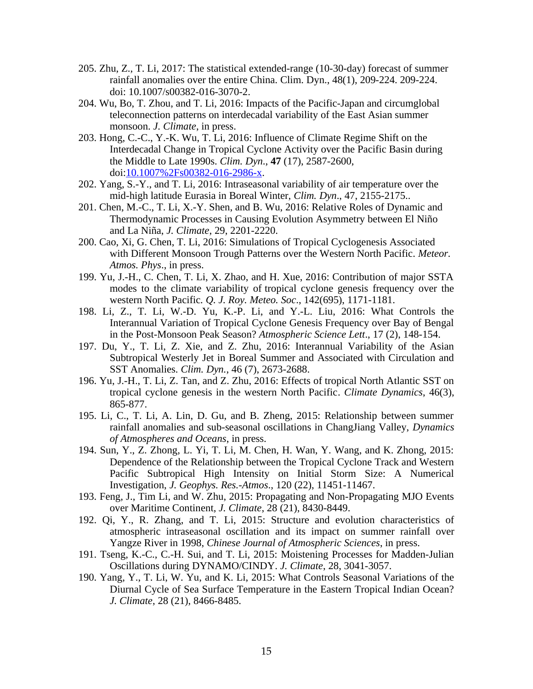- 205. Zhu, Z., T. Li, 2017: The statistical extended-range (10-30-day) forecast of summer rainfall anomalies over the entire China. Clim. Dyn., 48(1), 209-224. 209-224. doi: 10.1007/s00382-016-3070-2.
- 204. Wu, Bo, T. Zhou, and T. Li, 2016: Impacts of the Pacific-Japan and circumglobal teleconnection patterns on interdecadal variability of the East Asian summer monsoon. *J. Climate*, in press.
- 203. Hong, C.-C., Y.-K. Wu, T. Li, 2016: Influence of Climate Regime Shift on the Interdecadal Change in Tropical Cyclone Activity over the Pacific Basin during the Middle to Late 1990s. *Clim. Dyn*., **47** (17), 2587-2600, doi:[10.1007%2Fs00382-016-2986-x](http://dx.doi.org/10.1007%2Fs00382-016-2986-x).
- 202. Yang, S.-Y., and T. Li, 2016: Intraseasonal variability of air temperature over the mid-high latitude Eurasia in Boreal Winter, *Clim. Dyn*., 47, 2155-2175..
- 201. Chen, M.-C., T. Li, X.-Y. Shen, and B. Wu, 2016: Relative Roles of Dynamic and Thermodynamic Processes in Causing Evolution Asymmetry between El Niño and La Niña, *J. Climate*, 29, 2201-2220.
- 200. Cao, Xi, G. Chen, T. Li, 2016: Simulations of Tropical Cyclogenesis Associated with Different Monsoon Trough Patterns over the Western North Pacific. *Meteor. Atmos. Phys*., in press.
- 199. Yu, J.-H., C. Chen, T. Li, X. Zhao, and H. Xue, 2016: Contribution of major SSTA modes to the climate variability of tropical cyclone genesis frequency over the western North Pacific*. Q. J. Roy. Meteo. Soc*., 142(695), 1171-1181.
- 198. Li, Z., T. Li, W.-D. Yu, K.-P. Li, and Y.-L. Liu, 2016: What Controls the Interannual Variation of Tropical Cyclone Genesis Frequency over Bay of Bengal in the Post-Monsoon Peak Season? *Atmospheric Science Lett*., 17 (2), 148-154.
- 197. Du, Y., T. Li, Z. Xie, and Z. Zhu, 2016: Interannual Variability of the Asian Subtropical Westerly Jet in Boreal Summer and Associated with Circulation and SST Anomalies. *Clim. Dyn.*, 46 (7), 2673-2688.
- 196. Yu, J.-H., T. Li, Z. Tan, and Z. Zhu, 2016: Effects of tropical North Atlantic SST on tropical cyclone genesis in the western North Pacific. *Climate Dynamics*, 46(3), 865-877.
- 195. Li, C., T. Li, A. Lin, D. Gu, and B. Zheng, 2015: Relationship between summer rainfall anomalies and sub-seasonal oscillations in ChangJiang Valley, *Dynamics of Atmospheres and Oceans*, in press.
- 194. Sun, Y., Z. Zhong, L. Yi, T. Li, M. Chen, H. Wan, Y. Wang, and K. Zhong, 2015: Dependence of the Relationship between the Tropical Cyclone Track and Western Pacific Subtropical High Intensity on Initial Storm Size: A Numerical Investigation, *J. Geophys. Res.-Atmos*., 120 (22), 11451-11467.
- 193. Feng, J., Tim Li, and W. Zhu, 2015: Propagating and Non-Propagating MJO Events over Maritime Continent, *J. Climate*, 28 (21), 8430-8449.
- 192. Qi, Y., R. Zhang, and T. Li, 2015: Structure and evolution characteristics of atmospheric intraseasonal oscillation and its impact on summer rainfall over Yangze River in 1998, *Chinese Journal of Atmospheric Sciences*, in press.
- 191. Tseng, K.-C., C.-H. Sui, and T. Li, 2015: Moistening Processes for Madden-Julian Oscillations during DYNAMO/CINDY. *J. Climate*, 28, 3041-3057.
- 190. Yang, Y., T. Li, W. Yu, and K. Li, 2015: What Controls Seasonal Variations of the Diurnal Cycle of Sea Surface Temperature in the Eastern Tropical Indian Ocean? *J. Climate*, 28 (21), 8466-8485.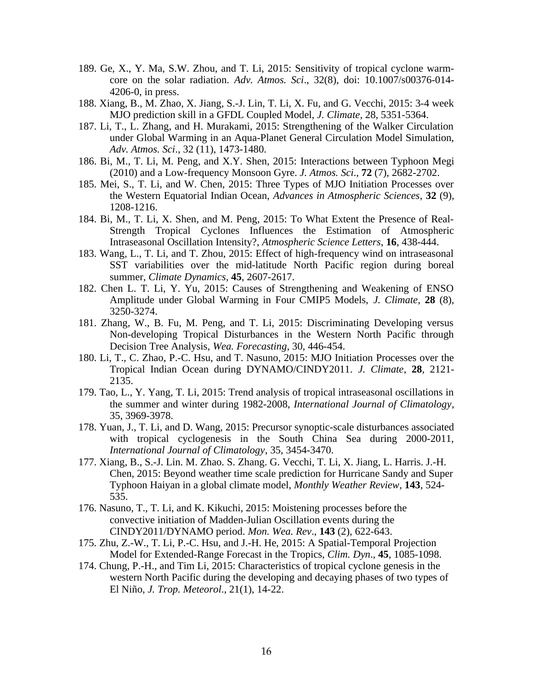- 189. Ge, X., Y. Ma, S.W. Zhou, and T. Li, 2015: Sensitivity of tropical cyclone warmcore on the solar radiation. *Adv. Atmos. Sci*., 32(8), doi: 10.1007/s00376-014- 4206-0, in press.
- 188. Xiang, B., M. Zhao, X. Jiang, S.-J. Lin, T. Li, X. Fu, and G. Vecchi, 2015: 3-4 week MJO prediction skill in a GFDL Coupled Model, *J. Climate*, 28, 5351-5364.
- 187. Li, T., L. Zhang, and H. Murakami, 2015: Strengthening of the Walker Circulation under Global Warming in an Aqua-Planet General Circulation Model Simulation, *Adv. Atmos. Sci*., 32 (11), 1473-1480.
- 186. Bi, M., T. Li, M. Peng, and X.Y. Shen, 2015: Interactions between Typhoon Megi (2010) and a Low-frequency Monsoon Gyre. *J. Atmos. Sci*., **72** (7), 2682-2702.
- 185. Mei, S., T. Li, and W. Chen, 2015: Three Types of MJO Initiation Processes over the Western Equatorial Indian Ocean, *Advances in Atmospheric Sciences*, **32** (9), 1208-1216.
- 184. Bi, M., T. Li, X. Shen, and M. Peng, 2015: To What Extent the Presence of Real-Strength Tropical Cyclones Influences the Estimation of Atmospheric Intraseasonal Oscillation Intensity?, *Atmospheric Science Letters*, **16**, 438-444.
- 183. Wang, L., T. Li, and T. Zhou, 2015: Effect of high-frequency wind on intraseasonal SST variabilities over the mid-latitude North Pacific region during boreal summer, *Climate Dynamics*, **45**, 2607-2617.
- 182. Chen L. T. Li, Y. Yu, 2015: Causes of Strengthening and Weakening of ENSO Amplitude under Global Warming in Four CMIP5 Models, *J. Climate*, **28** (8), 3250-3274.
- 181. Zhang, W., B. Fu, M. Peng, and T. Li, 2015: Discriminating Developing versus Non-developing Tropical Disturbances in the Western North Pacific through Decision Tree Analysis, *Wea. Forecasting*, 30, 446-454.
- 180. Li, T., C. Zhao, P.-C. Hsu, and T. Nasuno, 2015: MJO Initiation Processes over the Tropical Indian Ocean during DYNAMO/CINDY2011. *J. Climate*, **28**, 2121- 2135.
- 179. Tao, L., Y. Yang, T. Li, 2015: Trend analysis of tropical intraseasonal oscillations in the summer and winter during 1982-2008, *International Journal of Climatology*, 35, 3969-3978.
- 178. Yuan, J., T. Li, and D. Wang, 2015: Precursor synoptic-scale disturbances associated with tropical cyclogenesis in the South China Sea during 2000-2011, *International Journal of Climatology*, 35, 3454-3470.
- 177. Xiang, B., S.-J. Lin. M. Zhao. S. Zhang. G. Vecchi, T. Li, X. Jiang, L. Harris. J.-H. Chen, 2015: Beyond weather time scale prediction for Hurricane Sandy and Super Typhoon Haiyan in a global climate model, *Monthly Weather Review*, **143**, 524- 535.
- 176. Nasuno, T., T. Li, and K. Kikuchi, 2015: Moistening processes before the convective initiation of Madden-Julian Oscillation events during the CINDY2011/DYNAMO period. *Mon. Wea. Rev*., **143** (2), 622-643.
- 175. Zhu, Z.-W., T. Li, P.-C. Hsu, and J.-H. He, 2015: A Spatial-Temporal Projection Model for Extended-Range Forecast in the Tropics, *Clim. Dyn*., **45**, 1085-1098.
- 174. Chung, P.-H., and Tim Li, 2015: Characteristics of tropical cyclone genesis in the western North Pacific during the developing and decaying phases of two types of El Niño, *J. Trop. Meteorol*., 21(1), 14-22.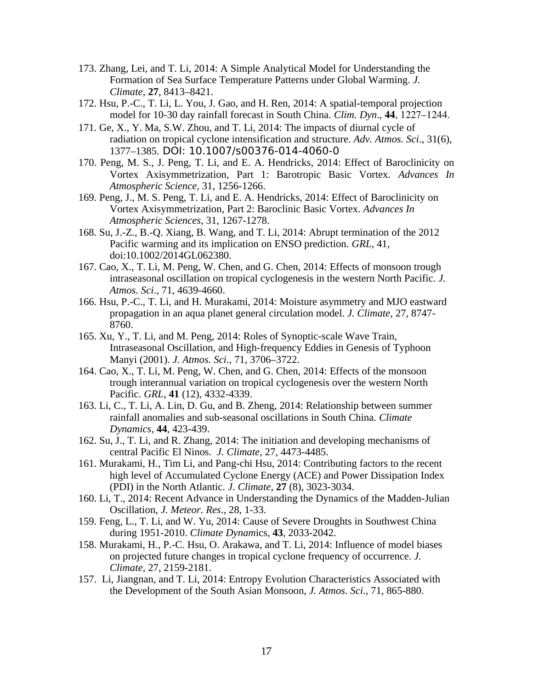- 173. Zhang, Lei, and T. Li, 2014: A Simple Analytical Model for Understanding the Formation of Sea Surface Temperature Patterns under Global Warming. *J. Climate*, **27**, 8413–8421.
- 172. Hsu, P.-C., T. Li, L. You, J. Gao, and H. Ren, 2014: A spatial-temporal projection model for 10-30 day rainfall forecast in South China. *Clim. Dyn*., **44**, 1227–1244.
- 171. Ge, X., Y. Ma, S.W. Zhou, and T. Li, 2014: The impacts of diurnal cycle of radiation on tropical cyclone intensification and structure. *Adv. Atmos. Sci*., 31(6), 1377–1385. DOI: 10.1007/s00376-014-4060-0
- 170. Peng, M. S., J. Peng, T. Li, and E. A. Hendricks, 2014: Effect of Baroclinicity on Vortex Axisymmetrization, Part 1: Barotropic Basic Vortex. *Advances In Atmospheric Science*, 31, 1256-1266.
- 169. Peng, J., M. S. Peng, T. Li, and E. A. Hendricks, 2014: Effect of Baroclinicity on Vortex Axisymmetrization, Part 2: Baroclinic Basic Vortex. *Advances In Atmospheric Sciences*, 31, 1267-1278.
- 168. Su, J.-Z., B.-Q. Xiang, B. Wang, and T. Li, 2014: Abrupt termination of the 2012 Pacific warming and its implication on ENSO prediction. *GRL*, 41, doi:10.1002/2014GL062380.
- 167. Cao, X., T. Li, M. Peng, W. Chen, and G. Chen, 2014: Effects of monsoon trough intraseasonal oscillation on tropical cyclogenesis in the western North Pacific. *J. Atmos. Sci*., 71, 4639-4660.
- 166. Hsu, P.-C., T. Li, and H. Murakami, 2014: Moisture asymmetry and MJO eastward propagation in an aqua planet general circulation model. *J. Climate*, 27, 8747- 8760.
- 165. Xu, Y., T. Li, and M. Peng, 2014: Roles of Synoptic-scale Wave Train, Intraseasonal Oscillation, and High-frequency Eddies in Genesis of Typhoon Manyi (2001). *J. Atmos. Sci.*, 71, 3706–3722.
- 164. Cao, X., T. Li, M. Peng, W. Chen, and G. Chen, 2014: Effects of the monsoon trough interannual variation on tropical cyclogenesis over the western North Pacific. *GRL*, **41** (12), 4332-4339.
- 163. Li, C., T. Li, A. Lin, D. Gu, and B. Zheng, 2014: Relationship between summer rainfall anomalies and sub-seasonal oscillations in South China. *Climate Dynamics*, **44**, 423-439.
- 162. Su, J., T. Li, and R. Zhang, 2014: The initiation and developing mechanisms of central Pacific El Ninos. *J. Climate*, 27, 4473-4485.
- 161. Murakami, H., Tim Li, and Pang-chi Hsu, 2014: Contributing factors to the recent high level of Accumulated Cyclone Energy (ACE) and Power Dissipation Index (PDI) in the North Atlantic. *J. Climate*, **27** (8), 3023-3034.
- 160. Li, T., 2014: Recent Advance in Understanding the Dynamics of the Madden-Julian Oscillation, *J. Meteor. Res*., 28, 1-33.
- 159. Feng, L., T. Li, and W. Yu, 2014: Cause of Severe Droughts in Southwest China during 1951-2010. *Climate Dynam*ics, **43**, 2033-2042.
- 158. Murakami, H., P.-C. Hsu, O. Arakawa, and T. Li, 2014: Influence of model biases on projected future changes in tropical cyclone frequency of occurrence. *J. Climate*, 27, 2159-2181.
- 157. Li, Jiangnan, and T. Li, 2014: Entropy Evolution Characteristics Associated with the Development of the South Asian Monsoon, *J. Atmos. Sci*., 71, 865-880.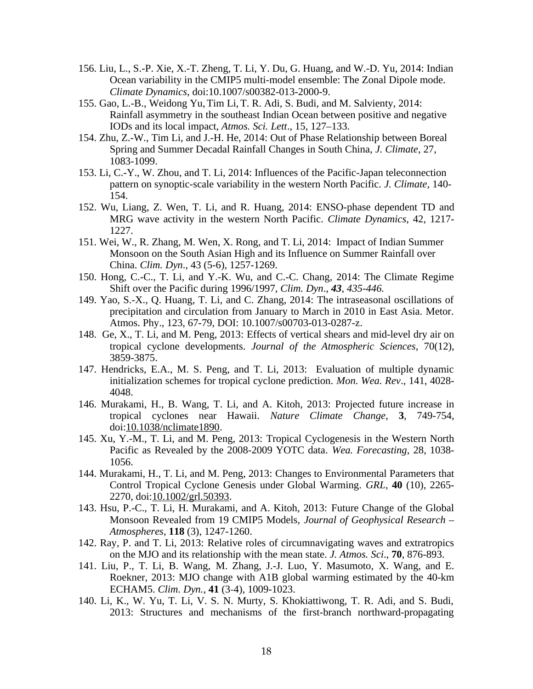- 156. Liu, L., S.-P. Xie, X.-T. Zheng, T. Li, Y. Du, G. Huang, and W.-D. Yu, 2014: Indian Ocean variability in the CMIP5 multi-model ensemble: The Zonal Dipole mode. *Climate Dynamics*, doi:10.1007/s00382-013-2000-9.
- 155. Gao, L.-B., Weidong Yu,Tim Li,T. R. Adi, S. Budi, and M. Salvienty, 2014: Rainfall asymmetry in the southeast Indian Ocean between positive and negative IODs and its local impact, *Atmos. Sci. Lett*., 15, 127–133.
- 154. Zhu, Z.-W., Tim Li, and J.-H. He, 2014: Out of Phase Relationship between Boreal Spring and Summer Decadal Rainfall Changes in South China, *J. Climate*, 27, 1083-1099.
- 153. Li, C.-Y., W. Zhou, and T. Li, 2014: Influences of the Pacific-Japan teleconnection pattern on synoptic-scale variability in the western North Pacific. *J. Climate*, 140- 154.
- 152. Wu, Liang, Z. Wen, T. Li, and R. Huang, 2014: ENSO-phase dependent TD and MRG wave activity in the western North Pacific. *Climate Dynamics*, 42, 1217- 1227.
- 151. Wei, W., R. Zhang, M. Wen, X. Rong, and T. Li, 2014: Impact of Indian Summer Monsoon on the South Asian High and its Influence on Summer Rainfall over China. *Clim. Dyn*., 43 (5-6), 1257-1269.
- 150. Hong, C.-C., T. Li, and Y.-K. Wu, and C.-C. Chang, 2014: The Climate Regime Shift over the Pacific during 1996/1997, *Clim. Dyn*., *43, 435-446.*
- 149. Yao, S.-X., Q. Huang, T. Li, and C. Zhang, 2014: The intraseasonal oscillations of precipitation and circulation from January to March in 2010 in East Asia. Metor. Atmos. Phy., 123, 67-79, DOI: 10.1007/s00703-013-0287-z.
- 148. Ge, X., T. Li, and M. Peng, 2013: Effects of vertical shears and mid-level dry air on tropical cyclone developments. *Journal of the Atmospheric Sciences*, 70(12), 3859-3875.
- 147. Hendricks, E.A., M. S. Peng, and T. Li, 2013: Evaluation of multiple dynamic initialization schemes for tropical cyclone prediction. *Mon. Wea. Rev*., 141, 4028- 4048.
- 146. Murakami, H., B. Wang, T. Li, and A. Kitoh, 2013: Projected future increase in tropical cyclones near Hawaii. *Nature Climate Change*, **3**, 749-754, doi:[10.1038/nclimate1890](http://dx.doi.org/10.1038/nclimate1890).
- 145. Xu, Y.-M., T. Li, and M. Peng, 2013: Tropical Cyclogenesis in the Western North Pacific as Revealed by the 2008-2009 YOTC data. *Wea. Forecasting*, 28, 1038- 1056.
- 144. Murakami, H., T. Li, and M. Peng, 2013: Changes to Environmental Parameters that Control Tropical Cyclone Genesis under Global Warming. *GRL*, **40** (10), 2265- 2270, doi:[10.1002/grl.50393](http://dx.doi.org/10.1002/grl.50393).
- 143. Hsu, P.-C., T. Li, H. Murakami, and A. Kitoh, 2013: Future Change of the Global Monsoon Revealed from 19 CMIP5 Models, *Journal of Geophysical Research – Atmospheres*, **118** (3), 1247-1260.
- 142. Ray, P. and T. Li, 2013: Relative roles of circumnavigating waves and extratropics on the MJO and its relationship with the mean state. *J. Atmos. Sci*., **70**, 876-893.
- 141. Liu, P., T. Li, B. Wang, M. Zhang, J.-J. Luo, Y. Masumoto, X. Wang, and E. Roekner, 2013: MJO change with A1B global warming estimated by the 40-km ECHAM5. *Clim. Dyn.*, **41** (3‐4), 1009-1023.
- 140. Li, K., W. Yu, T. Li, V. S. N. Murty, S. Khokiattiwong, T. R. Adi, and S. Budi, 2013: Structures and mechanisms of the first-branch northward-propagating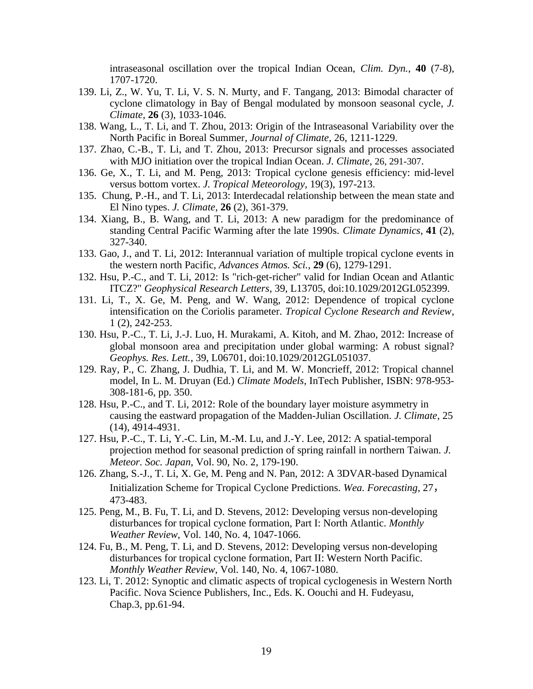intraseasonal oscillation over the tropical Indian Ocean, *Clim. Dyn.*, **40** (7‐8), 1707-1720.

- 139. Li, Z., W. Yu, T. Li, V. S. N. Murty, and F. Tangang, 2013: Bimodal character of cyclone climatology in Bay of Bengal modulated by monsoon seasonal cycle, *J. Climate*, **26** (3), 1033-1046.
- 138. Wang, L., T. Li, and T. Zhou, 2013: Origin of the Intraseasonal Variability over the North Pacific in Boreal Summer, *Journal of Climate*, 26, 1211-1229.
- 137. Zhao, C.-B., T. Li, and T. Zhou, 2013: Precursor signals and processes associated with MJO initiation over the tropical Indian Ocean. *J. Climate*, 26, 291-307.
- 136. Ge, X., T. Li, and M. Peng, 2013: Tropical cyclone genesis efficiency: mid-level versus bottom vortex. *J. Tropical Meteorology*, 19(3), 197-213.
- 135. Chung, P.-H., and T. Li, 2013: Interdecadal relationship between the mean state and El Nino types. *J. Climate*, **26** (2), 361-379.
- 134. Xiang, B., B. Wang, and T. Li, 2013: A new paradigm for the predominance of standing Central Pacific Warming after the late 1990s. *Climate Dynamics*, **41** (2), 327-340.
- 133. Gao, J., and T. Li, 2012: Interannual variation of multiple tropical cyclone events in the western north Pacific, *Advances Atmos. Sci.*, **29** (6), 1279-1291.
- 132. Hsu, P.-C., and T. Li, 2012: Is "rich-get-richer" valid for Indian Ocean and Atlantic ITCZ?" *Geophysical Research Letters*, 39, L13705, doi:10.1029/2012GL052399.
- 131. Li, T., X. Ge, M. Peng, and W. Wang, 2012: Dependence of tropical cyclone intensification on the Coriolis parameter. *Tropical Cyclone Research and Review*, 1 (2), 242-253.
- 130. Hsu, P.-C., T. Li, J.-J. Luo, H. Murakami, A. Kitoh, and M. Zhao, 2012: Increase of global monsoon area and precipitation under global warming: A robust signal? *Geophys. Res. Lett.*, 39, L06701, doi:10.1029/2012GL051037.
- 129. Ray, P., C. Zhang, J. Dudhia, T. Li, and M. W. Moncrieff, 2012: Tropical channel model, In L. M. Druyan (Ed.) *Climate Models*, InTech Publisher, ISBN: 978-953- 308-181-6, pp. 350.
- 128. Hsu, P.-C., and T. Li, 2012: Role of the boundary layer moisture asymmetry in causing the eastward propagation of the Madden-Julian Oscillation. *J. Climate*, 25 (14), 4914-4931.
- 127. Hsu, P.-C., T. Li, Y.-C. Lin, M.-M. Lu, and J.-Y. Lee, 2012: A spatial-temporal projection method for seasonal prediction of spring rainfall in northern Taiwan. *J. Meteor. Soc. Japan*, Vol. 90, No. 2, 179-190.
- 126. Zhang, S.-J., T. Li, X. Ge, M. Peng and N. Pan, 2012: A 3DVAR-based Dynamical Initialization Scheme for Tropical Cyclone Predictions. *Wea. Forecasting*, 27, 473-483.
- 125. Peng, M., B. Fu, T. Li, and D. Stevens, 2012: Developing versus non-developing disturbances for tropical cyclone formation, Part I: North Atlantic. *Monthly Weather Review*, Vol. 140, No. 4, 1047-1066.
- 124. Fu, B., M. Peng, T. Li, and D. Stevens, 2012: Developing versus non-developing disturbances for tropical cyclone formation, Part II: Western North Pacific. *Monthly Weather Review*, Vol. 140, No. 4, 1067-1080.
- 123. Li, T. 2012: Synoptic and climatic aspects of tropical cyclogenesis in Western North Pacific. Nova Science Publishers, Inc., Eds. K. Oouchi and H. Fudeyasu, Chap.3, pp.61-94.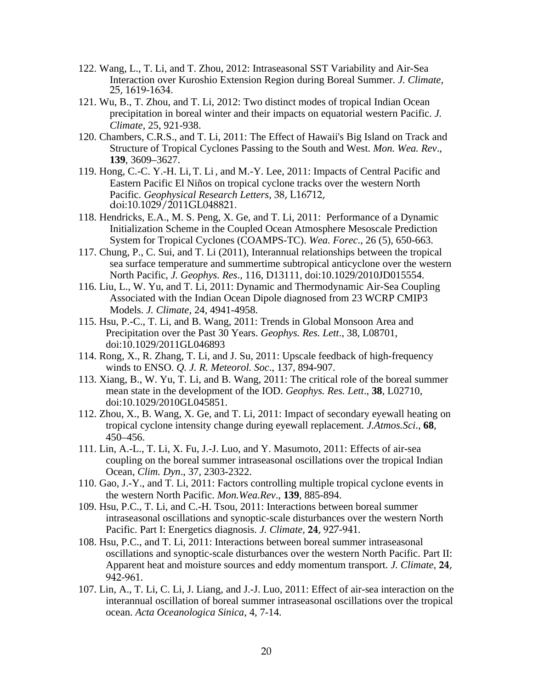- 122. Wang, L., T. Li, and T. Zhou, 2012: Intraseasonal SST Variability and Air-Sea Interaction over Kuroshio Extension Region during Boreal Summer. *J. Climate*, 25, 1619-1634.
- 121. Wu, B., T. Zhou, and T. Li, 2012: Two distinct modes of tropical Indian Ocean precipitation in boreal winter and their impacts on equatorial western Pacific. *J. Climate*, 25, 921-938.
- 120. Chambers, C.R.S., and T. Li, 2011: The Effect of Hawaii's Big Island on Track and Structure of Tropical Cyclones Passing to the South and West. *Mon. Wea. Rev*., **139**, 3609–3627.
- 119. Hong, C.-C. Y.-H. Li,T. Li , and M.-Y. Lee, 2011: Impacts of Central Pacific and Eastern Pacific El Niños on tropical cyclone tracks over the western North Pacific. *Geophysical Research Letters*, 38, L16712, doi:10.1029/2011GL048821.
- 118. Hendricks, E.A., M. S. Peng, X. Ge, and T. Li, 2011: Performance of a Dynamic Initialization Scheme in the Coupled Ocean Atmosphere Mesoscale Prediction System for Tropical Cyclones (COAMPS-TC). *Wea. Forec*., 26 (5), 650-663.
- 117. Chung, P., C. Sui, and T. Li (2011), Interannual relationships between the tropical sea surface temperature and summertime subtropical anticyclone over the western North Pacific, *J. Geophys. Res*., 116, D13111, doi:10.1029/2010JD015554.
- 116. Liu, L., W. Yu, and T. Li, 2011: Dynamic and Thermodynamic Air-Sea Coupling Associated with the Indian Ocean Dipole diagnosed from 23 WCRP CMIP3 Models. *J. Climate,* 24, 4941-4958.
- 115. Hsu, P.-C., T. Li, and B. Wang, 2011: Trends in Global Monsoon Area and Precipitation over the Past 30 Years. *Geophys. Res. Lett*., 38, L08701, doi:10.1029/2011GL046893
- 114. Rong, X., R. Zhang, T. Li, and J. Su, 2011: Upscale feedback of high-frequency winds to ENSO. *Q. J. R. Meteorol. Soc*., 137, 894-907.
- 113. Xiang, B., W. Yu, T. Li, and B. Wang, 2011: The critical role of the boreal summer mean state in the development of the IOD. *Geophys. Res. Lett*., **38**, L02710, doi:10.1029/2010GL045851.
- 112. Zhou, X., B. Wang, X. Ge, and T. Li, 2011: Impact of secondary eyewall heating on tropical cyclone intensity change during eyewall replacement*. J.Atmos.Sci*., **68**, 450–456.
- 111. Lin, A.-L., T. Li, X. Fu, J.-J. Luo, and Y. Masumoto, 2011: Effects of air-sea coupling on the boreal summer intraseasonal oscillations over the tropical Indian Ocean, *Clim. Dyn*., 37, 2303-2322.
- 110. Gao, J.-Y., and T. Li, 2011: Factors controlling multiple tropical cyclone events in the western North Pacific. *Mon.Wea.Rev*., **139**, 885-894.
- 109. Hsu, P.C., T. Li, and C.-H. Tsou, 2011: Interactions between boreal summer intraseasonal oscillations and synoptic-scale disturbances over the western North Pacific. Part I: Energetics diagnosis. *J. Climate,* **24**, 927-941*.*
- 108. Hsu, P.C., and T. Li, 2011: Interactions between boreal summer intraseasonal oscillations and synoptic-scale disturbances over the western North Pacific. Part II: Apparent heat and moisture sources and eddy momentum transport. *J. Climate,* **24**, 942-961*.*
- 107. Lin, A., T. Li, C. Li, J. Liang, and J.-J. Luo, 2011: Effect of air-sea interaction on the interannual oscillation of boreal summer intraseasonal oscillations over the tropical ocean. *Acta Oceanologica Sinica*, 4, 7-14.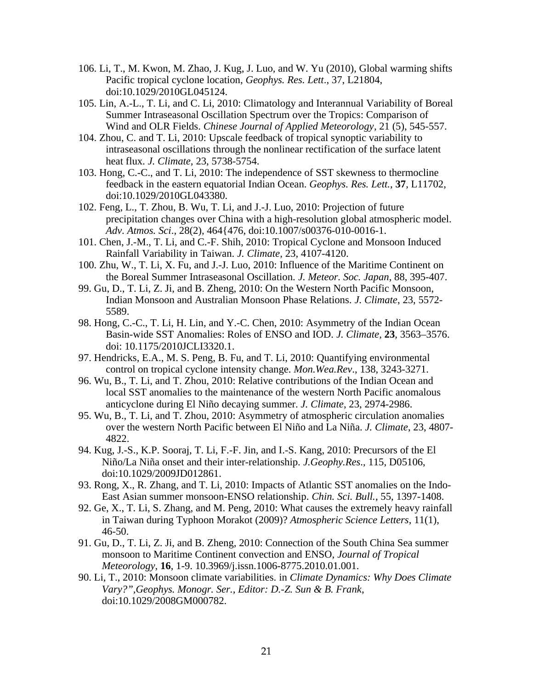- 106. Li, T., M. Kwon, M. Zhao, J. Kug, J. Luo, and W. Yu (2010), Global warming shifts Pacific tropical cyclone location, *Geophys. Res. Lett*., 37, L21804, doi:10.1029/2010GL045124.
- 105. Lin, A.-L., T. Li, and C. Li, 2010: Climatology and Interannual Variability of Boreal Summer Intraseasonal Oscillation Spectrum over the Tropics: Comparison of Wind and OLR Fields. *Chinese Journal of Applied Meteorology*, 21 (5), 545-557.
- 104. Zhou, C. and T. Li, 2010: Upscale feedback of tropical synoptic variability to intraseasonal oscillations through the nonlinear rectification of the surface latent heat flux. *J. Climate,* 23, 5738-5754.
- 103. Hong, C.-C., and T. Li, 2010: The independence of SST skewness to thermocline feedback in the eastern equatorial Indian Ocean. *Geophys. Res. Lett.*, **37**, L11702, doi:10.1029/2010GL043380.
- 102. Feng, L., T. Zhou, B. Wu, T. Li, and J.-J. Luo, 2010: Projection of future precipitation changes over China with a high-resolution global atmospheric model. *Adv. Atmos. Sci*., 28(2), 464{476, doi:10.1007/s00376-010-0016-1.
- 101. Chen, J.-M., T. Li, and C.-F. Shih, 2010: Tropical Cyclone and Monsoon Induced Rainfall Variability in Taiwan. *J. Climate*, 23, 4107-4120.
- 100. Zhu, W., T. Li, X. Fu, and J.-J. Luo, 2010: Influence of the Maritime Continent on the Boreal Summer Intraseasonal Oscillation. *J. Meteor. Soc. Japan*, 88, 395-407.
- 99. Gu, D., T. Li, Z. Ji, and B. Zheng, 2010: On the Western North Pacific Monsoon, Indian Monsoon and Australian Monsoon Phase Relations. *J. Climate*, 23, 5572- 5589.
- 98. Hong, C.-C., T. Li, H. Lin, and Y.-C. Chen, 2010: Asymmetry of the Indian Ocean Basin-wide SST Anomalies: Roles of ENSO and IOD. *J. Climate*, **23**, 3563–3576. doi: 10.1175/2010JCLI3320.1.
- 97. Hendricks, E.A., M. S. Peng, B. Fu, and T. Li, 2010: Quantifying environmental control on tropical cyclone intensity change. *Mon.Wea.Rev*., 138, 3243-3271.
- 96. Wu, B., T. Li, and T. Zhou, 2010: Relative contributions of the Indian Ocean and local SST anomalies to the maintenance of the western North Pacific anomalous anticyclone during El Niño decaying summer. *J. Climate*, 23, 2974-2986.
- 95. Wu, B., T. Li, and T. Zhou, 2010: Asymmetry of atmospheric circulation anomalies over the western North Pacific between El Niño and La Niña. *J. Climate*, 23, 4807- 4822.
- 94. Kug, J.-S., K.P. Sooraj, T. Li, F.-F. Jin, and I.-S. Kang, 2010: Precursors of the El Niño/La Niña onset and their inter-relationship. *J.Geophy.Res*., 115, D05106, doi:10.1029/2009JD012861.
- 93. Rong, X., R. Zhang, and T. Li, 2010: Impacts of Atlantic SST anomalies on the Indo-East Asian summer monsoon-ENSO relationship. *Chin. Sci. Bull.*, 55, 1397-1408.
- 92. Ge, X., T. Li, S. Zhang, and M. Peng, 2010: What causes the extremely heavy rainfall in Taiwan during Typhoon Morakot (2009)? *Atmospheric Science Letters*, 11(1), 46-50.
- 91. Gu, D., T. Li, Z. Ji, and B. Zheng, 2010: Connection of the South China Sea summer monsoon to Maritime Continent convection and ENSO, *Journal of Tropical Meteorology*, **16**, 1-9. 10.3969/j.issn.1006-8775.2010.01.001.
- 90. Li, T., 2010: Monsoon climate variabilities. in *Climate Dynamics: Why Does Climate Vary?",Geophys. Monogr. Ser., Editor: D.-Z. Sun & B. Frank*, doi:10.1029/2008GM000782.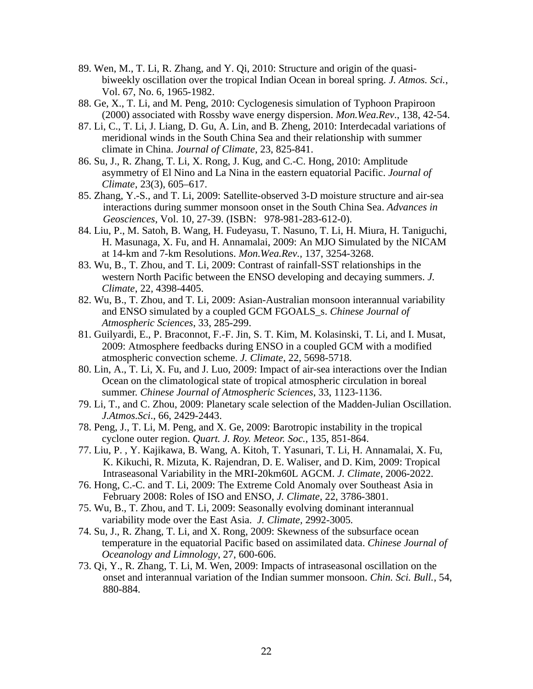- 89. Wen, M., T. Li, R. Zhang, and Y. Qi, 2010: Structure and origin of the quasibiweekly oscillation over the tropical Indian Ocean in boreal spring. *J. Atmos. Sci.*, Vol. 67, No. 6, 1965-1982.
- 88. Ge, X., T. Li, and M. Peng, 2010: Cyclogenesis simulation of Typhoon Prapiroon (2000) associated with Rossby wave energy dispersion. *Mon.Wea.Rev*., 138, 42-54.
- 87. Li, C., T. Li, J. Liang, D. Gu, A. Lin, and B. Zheng, 2010: Interdecadal variations of meridional winds in the South China Sea and their relationship with summer climate in China. *Journal of Climate*, 23, 825-841.
- 86. Su, J., R. Zhang, T. Li, X. Rong, J. Kug, and C.-C. Hong, 2010: Amplitude asymmetry of El Nino and La Nina in the eastern equatorial Pacific. *Journal of Climate*, 23(3), 605–617.
- 85. Zhang, Y.-S., and T. Li, 2009: Satellite-observed 3-D moisture structure and air-sea interactions during summer monsoon onset in the South China Sea. *Advances in Geosciences*, Vol. 10, 27-39. (ISBN: 978-981-283-612-0).
- 84. Liu, P., M. Satoh, B. Wang, H. Fudeyasu, T. Nasuno, T. Li, H. Miura, H. Taniguchi, H. Masunaga, X. Fu, and H. Annamalai, 2009: An MJO Simulated by the NICAM at 14-km and 7-km Resolutions. *Mon.Wea.Rev.,* 137, 3254-3268.
- 83. Wu, B., T. Zhou, and T. Li, 2009: Contrast of rainfall-SST relationships in the western North Pacific between the ENSO developing and decaying summers. *J. Climate*, 22, 4398-4405.
- 82. Wu, B., T. Zhou, and T. Li, 2009: Asian-Australian monsoon interannual variability and ENSO simulated by a coupled GCM FGOALS\_s. *Chinese Journal of Atmospheric Sciences*, 33, 285-299.
- 81. Guilyardi, E., P. Braconnot, F.-F. Jin, S. T. Kim, M. Kolasinski, T. Li, and I. Musat, 2009: Atmosphere feedbacks during ENSO in a coupled GCM with a modified atmospheric convection scheme. *J. Climate*, 22, 5698-5718.
- 80. Lin, A., T. Li, X. Fu, and J. Luo, 2009: Impact of air-sea interactions over the Indian Ocean on the climatological state of tropical atmospheric circulation in boreal summer. *Chinese Journal of Atmospheric Sciences*, 33, 1123-1136.
- 79. Li, T., and C. Zhou, 2009: Planetary scale selection of the Madden-Julian Oscillation. *J.Atmos.Sci*., 66, 2429-2443.
- 78. Peng, J., T. Li, M. Peng, and X. Ge, 2009: Barotropic instability in the tropical cyclone outer region. *Quart. J. Roy. Meteor. Soc.*, 135, 851-864.
- 77. Liu, P. , Y. Kajikawa, B. Wang, A. Kitoh, T. Yasunari, T. Li, H. Annamalai, X. Fu, K. Kikuchi, R. Mizuta, K. Rajendran, D. E. Waliser, and D. Kim, 2009: Tropical Intraseasonal Variability in the MRI-20km60L AGCM. *J. Climate*, 2006-2022.
- 76. Hong, C.-C. and T. Li, 2009: The Extreme Cold Anomaly over Southeast Asia in February 2008: Roles of ISO and ENSO, *J. Climate*, 22, 3786-3801.
- 75. Wu, B., T. Zhou, and T. Li, 2009: Seasonally evolving dominant interannual variability mode over the East Asia. *J. Climate,* 2992-3005*.*
- 74. Su, J., R. Zhang, T. Li, and X. Rong, 2009: Skewness of the subsurface ocean temperature in the equatorial Pacific based on assimilated data. *Chinese Journal of Oceanology and Limnology*, 27, 600-606.
- 73. Qi, Y., R. Zhang, T. Li, M. Wen, 2009: Impacts of intraseasonal oscillation on the onset and interannual variation of the Indian summer monsoon. *Chin. Sci. Bull.*, 54, 880-884.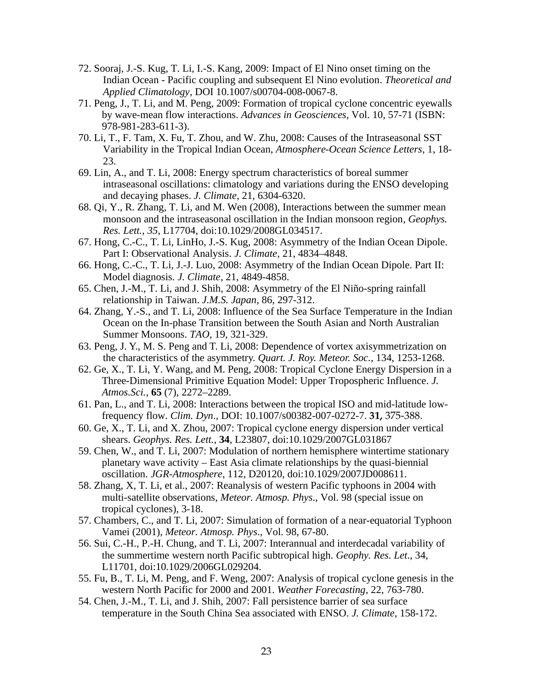- 72. Sooraj, J.-S. Kug, T. Li, I.-S. Kang, 2009: Impact of El Nino onset timing on the Indian Ocean - Pacific coupling and subsequent El Nino evolution. *Theoretical and Applied Climatology*, DOI 10.1007/s00704-008-0067-8.
- 71. Peng, J., T. Li, and M. Peng, 2009: Formation of tropical cyclone concentric eyewalls by wave-mean flow interactions. *Advances in Geosciences*, Vol. 10, 57-71 (ISBN: 978-981-283-611-3).
- 70. Li, T., F. Tam, X. Fu, T. Zhou, and W. Zhu, 2008: Causes of the Intraseasonal SST Variability in the Tropical Indian Ocean, *Atmosphere-Ocean Science Letters*, 1, 18- 23.
- 69. Lin, A., and T. Li, 2008: Energy spectrum characteristics of boreal summer intraseasonal oscillations: climatology and variations during the ENSO developing and decaying phases. *J. Climate*, 21, 6304-6320.
- 68. Qi, Y., R. Zhang, T. Li, and M. Wen (2008), Interactions between the summer mean monsoon and the intraseasonal oscillation in the Indian monsoon region, *Geophys. Res. Lett.*, *35*, L17704, doi:10.1029/2008GL034517.
- 67. Hong, C.-C., T. Li, LinHo, J.-S. Kug, 2008: Asymmetry of the Indian Ocean Dipole. Part I: Observational Analysis. *J. Climate,* 21, 4834–4848.
- 66. Hong, C.-C., T. Li, J.-J. Luo, 2008: Asymmetry of the Indian Ocean Dipole. Part II: Model diagnosis. *J. Climate,* 21, 4849-4858.
- 65. Chen, J.-M., T. Li, and J. Shih, 2008: Asymmetry of the El Niño-spring rainfall relationship in Taiwan. *J.M.S. Japan*, 86, 297-312.
- 64. Zhang, Y.-S., and T. Li, 2008: Influence of the Sea Surface Temperature in the Indian Ocean on the In-phase Transition between the South Asian and North Australian Summer Monsoons. *TAO*, 19, 321-329.
- 63. Peng, J. Y., M. S. Peng and T. Li, 2008: Dependence of vortex axisymmetrization on the characteristics of the asymmetry. *Quart. J. Roy. Meteor. Soc.*, 134, 1253-1268.
- 62. Ge, X., T. Li, Y. Wang, and M. Peng, 2008: Tropical Cyclone Energy Dispersion in a Three-Dimensional Primitive Equation Model: Upper Tropospheric Influence. *J. Atmos.Sci.*, **65** (7), 2272–2289.
- 61. Pan, L., and T. Li, 2008: Interactions between the tropical ISO and mid-latitude lowfrequency flow. *Clim. Dyn*., DOI: 10.1007/s00382-007-0272-7. **31,** 375-388.
- 60. Ge, X., T. Li, and X. Zhou, 2007: Tropical cyclone energy dispersion under vertical shears. *Geophys. Res. Lett.*, **34**, L23807, doi:10.1029/2007GL031867
- 59. Chen, W., and T. Li, 2007: Modulation of northern hemisphere wintertime stationary planetary wave activity – East Asia climate relationships by the quasi-biennial oscillation. *JGR-Atmosphere*, 112, D20120, doi:10.1029/2007JD008611.
- 58. Zhang, X, T. Li, et al., 2007: Reanalysis of western Pacific typhoons in 2004 with multi-satellite observations, *Meteor. Atmosp. Phys*., Vol. 98 (special issue on tropical cyclones), 3-18.
- 57. Chambers, C., and T. Li, 2007: Simulation of formation of a near-equatorial Typhoon Vamei (2001), *Meteor. Atmosp. Phys*., Vol. 98, 67-80.
- 56. Sui, C.-H., P.-H. Chung, and T. Li, 2007: Interannual and interdecadal variability of the summertime western north Pacific subtropical high. *Geophy. Res. Let*., 34, L11701, doi:10.1029/2006GL029204.
- 55. Fu, B., T. Li, M. Peng, and F. Weng, 2007: Analysis of tropical cyclone genesis in the western North Pacific for 2000 and 2001. *Weather Forecasting*, 22, 763-780.
- 54. Chen, J.-M., T. Li, and J. Shih, 2007: Fall persistence barrier of sea surface temperature in the South China Sea associated with ENSO. *J. Climate*, 158-172.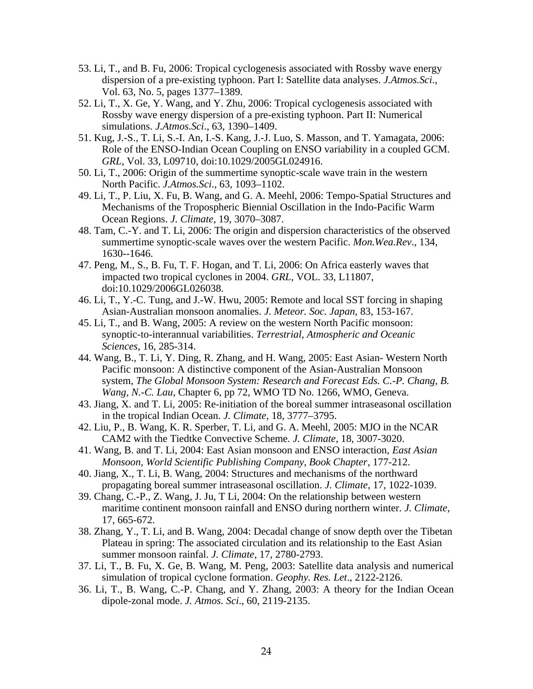- 53. Li, T., and B. Fu, 2006: Tropical cyclogenesis associated with Rossby wave energy dispersion of a pre-existing typhoon. Part I: Satellite data analyses. *J.Atmos.Sci*., Vol. 63, No. 5, pages 1377–1389.
- 52. Li, T., X. Ge, Y. Wang, and Y. Zhu, 2006: Tropical cyclogenesis associated with Rossby wave energy dispersion of a pre-existing typhoon. Part II: Numerical simulations. *J.Atmos.Sci*., 63, 1390–1409.
- 51. Kug, J.-S., T. Li, S.-I. An, I.-S. Kang, J.-J. Luo, S. Masson, and T. Yamagata, 2006: Role of the ENSO-Indian Ocean Coupling on ENSO variability in a coupled GCM. *GRL*, Vol. 33, L09710, doi:10.1029/2005GL024916.
- 50. Li, T., 2006: Origin of the summertime synoptic-scale wave train in the western North Pacific. *J.Atmos.Sci*., 63, 1093–1102.
- 49. Li, T., P. Liu, X. Fu, B. Wang, and G. A. Meehl, 2006: Tempo-Spatial Structures and Mechanisms of the Tropospheric Biennial Oscillation in the Indo-Pacific Warm Ocean Regions. *J. Climate*, 19, 3070–3087.
- 48. Tam, C.-Y. and T. Li, 2006: The origin and dispersion characteristics of the observed summertime synoptic-scale waves over the western Pacific. *Mon.Wea.Rev*., 134, 1630--1646.
- 47. Peng, M., S., B. Fu, T. F. Hogan, and T. Li, 2006: On Africa easterly waves that impacted two tropical cyclones in 2004. *GRL*, VOL. 33, L11807, doi:10.1029/2006GL026038.
- 46. Li, T., Y.-C. Tung, and J.-W. Hwu, 2005: Remote and local SST forcing in shaping Asian-Australian monsoon anomalies. *J. Meteor. Soc. Japan*, 83, 153-167.
- 45. Li, T., and B. Wang, 2005: A review on the western North Pacific monsoon: synoptic-to-interannual variabilities. *Terrestrial, Atmospheric and Oceanic Sciences*, 16, 285-314.
- 44. Wang, B., T. Li, Y. Ding, R. Zhang, and H. Wang, 2005: East Asian- Western North Pacific monsoon: A distinctive component of the Asian-Australian Monsoon system, *The Global Monsoon System: Research and Forecast Eds. C.-P. Chang, B. Wang, N.-C. Lau*, Chapter 6, pp 72, WMO TD No. 1266, WMO, Geneva.
- 43. Jiang, X. and T. Li, 2005: Re-initiation of the boreal summer intraseasonal oscillation in the tropical Indian Ocean. *J. Climate,* 18, 3777–3795.
- 42. Liu, P., B. Wang, K. R. Sperber, T. Li, and G. A. Meehl, 2005: MJO in the NCAR CAM2 with the Tiedtke Convective Scheme. *J. Climate*, 18, 3007-3020.
- 41. Wang, B. and T. Li, 2004: East Asian monsoon and ENSO interaction, *East Asian Monsoon, World Scientific Publishing Company, Book Chapter*, 177-212.
- 40. Jiang, X., T. Li, B. Wang, 2004: Structures and mechanisms of the northward propagating boreal summer intraseasonal oscillation. *J. Climate*, 17, 1022-1039.
- 39. Chang, C.-P., Z. Wang, J. Ju, T Li, 2004: On the relationship between western maritime continent monsoon rainfall and ENSO during northern winter. *J. Climate*, 17, 665-672.
- 38. Zhang, Y., T. Li, and B. Wang, 2004: Decadal change of snow depth over the Tibetan Plateau in spring: The associated circulation and its relationship to the East Asian summer monsoon rainfal. *J. Climate*, 17, 2780-2793.
- 37. Li, T., B. Fu, X. Ge, B. Wang, M. Peng, 2003: Satellite data analysis and numerical simulation of tropical cyclone formation. *Geophy. Res. Let*., 2122-2126.
- 36. Li, T., B. Wang, C.-P. Chang, and Y. Zhang, 2003: A theory for the Indian Ocean dipole-zonal mode. *J. Atmos. Sci*., 60, 2119-2135.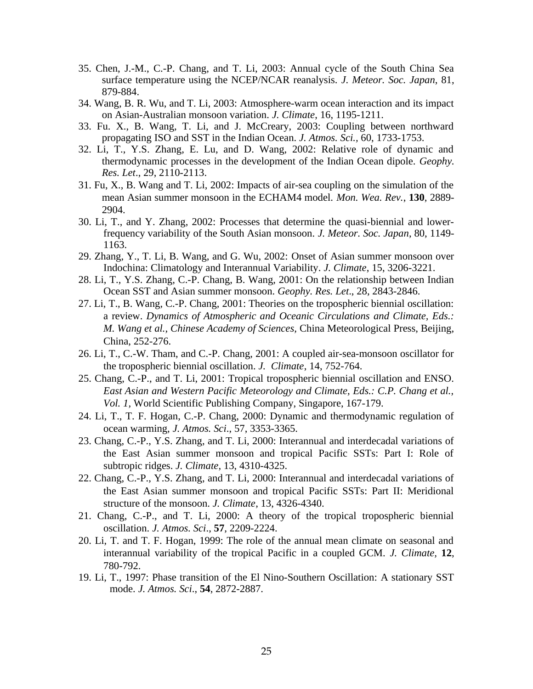- 35. Chen, J.-M., C.-P. Chang, and T. Li, 2003: Annual cycle of the South China Sea surface temperature using the NCEP/NCAR reanalysis. *J. Meteor. Soc. Japan*, 81, 879-884.
- 34. Wang, B. R. Wu, and T. Li, 2003: Atmosphere-warm ocean interaction and its impact on Asian-Australian monsoon variation. *J. Climate*, 16, 1195-1211.
- 33. Fu. X., B. Wang, T. Li, and J. McCreary, 2003: Coupling between northward propagating ISO and SST in the Indian Ocean. *J. Atmos. Sci.,* 60, 1733-1753.
- 32. Li, T., Y.S. Zhang, E. Lu, and D. Wang, 2002: Relative role of dynamic and thermodynamic processes in the development of the Indian Ocean dipole. *Geophy. Res. Let*., 29, 2110-2113.
- 31. Fu, X., B. Wang and T. Li, 2002: Impacts of air-sea coupling on the simulation of the mean Asian summer monsoon in the ECHAM4 model. *Mon. Wea. Rev.*, **130**, 2889- 2904.
- 30. Li, T., and Y. Zhang, 2002: Processes that determine the quasi-biennial and lowerfrequency variability of the South Asian monsoon. *J. Meteor. Soc. Japan*, 80, 1149- 1163.
- 29. Zhang, Y., T. Li, B. Wang, and G. Wu, 2002: Onset of Asian summer monsoon over Indochina: Climatology and Interannual Variability. *J. Climate*, 15, 3206-3221.
- 28. Li, T., Y.S. Zhang, C.-P. Chang, B. Wang, 2001: On the relationship between Indian Ocean SST and Asian summer monsoon. *Geophy. Res. Let*., 28, 2843-2846.
- 27. Li, T., B. Wang, C.-P. Chang, 2001: Theories on the tropospheric biennial oscillation: a review. *Dynamics of Atmospheric and Oceanic Circulations and Climate, Eds.: M. Wang et al., Chinese Academy of Sciences,* China Meteorological Press, Beijing, China, 252-276.
- 26. Li, T., C.-W. Tham, and C.-P. Chang, 2001: A coupled air-sea-monsoon oscillator for the tropospheric biennial oscillation. *J. Climate*, 14, 752-764.
- 25. Chang, C.-P., and T. Li, 2001: Tropical tropospheric biennial oscillation and ENSO. *East Asian and Western Pacific Meteorology and Climate, Eds.: C.P. Chang et al., Vol. 1,* World Scientific Publishing Company, Singapore, 167-179.
- 24. Li, T., T. F. Hogan, C.-P. Chang, 2000: Dynamic and thermodynamic regulation of ocean warming, *J. Atmos. Sci*., 57, 3353-3365.
- 23. Chang, C.-P., Y.S. Zhang, and T. Li, 2000: Interannual and interdecadal variations of the East Asian summer monsoon and tropical Pacific SSTs: Part I: Role of subtropic ridges. *J. Climate*, 13, 4310-4325.
- 22. Chang, C.-P., Y.S. Zhang, and T. Li, 2000: Interannual and interdecadal variations of the East Asian summer monsoon and tropical Pacific SSTs: Part II: Meridional structure of the monsoon. *J. Climate*, 13, 4326-4340.
- 21. Chang, C.-P., and T. Li, 2000: A theory of the tropical tropospheric biennial oscillation. *J. Atmos. Sci*., **57**, 2209-2224.
- 20. Li, T. and T. F. Hogan, 1999: The role of the annual mean climate on seasonal and interannual variability of the tropical Pacific in a coupled GCM. *J. Climate,* **12**, 780-792.
- 19. Li, T., 1997: Phase transition of the El Nino-Southern Oscillation: A stationary SST mode. *J. Atmos. Sci*., **54**, 2872-2887.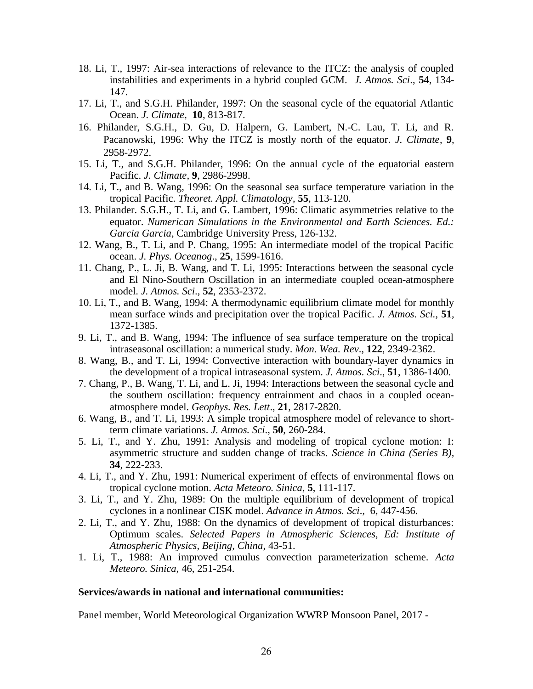- 18. Li, T., 1997: Air-sea interactions of relevance to the ITCZ: the analysis of coupled instabilities and experiments in a hybrid coupled GCM. *J. Atmos. Sci*., **54**, 134- 147.
- 17. Li, T., and S.G.H. Philander, 1997: On the seasonal cycle of the equatorial Atlantic Ocean. *J. Climate*, **10**, 813-817.
- 16. Philander, S.G.H., D. Gu, D. Halpern, G. Lambert, N.-C. Lau, T. Li, and R. Pacanowski, 1996: Why the ITCZ is mostly north of the equator. *J. Climate*, **9**, 2958-2972.
- 15. Li, T., and S.G.H. Philander, 1996: On the annual cycle of the equatorial eastern Pacific. *J. Climate*, **9**, 2986-2998.
- 14. Li, T., and B. Wang, 1996: On the seasonal sea surface temperature variation in the tropical Pacific. *Theoret. Appl. Climatology*, **55**, 113-120.
- 13. Philander. S.G.H., T. Li, and G. Lambert, 1996: Climatic asymmetries relative to the equator. *Numerican Simulations in the Environmental and Earth Sciences. Ed.: Garcia Garcia,* Cambridge University Press, 126-132.
- 12. Wang, B., T. Li, and P. Chang, 1995: An intermediate model of the tropical Pacific ocean. *J. Phys. Oceanog*., **25**, 1599-1616.
- 11. Chang, P., L. Ji, B. Wang, and T. Li, 1995: Interactions between the seasonal cycle and El Nino-Southern Oscillation in an intermediate coupled ocean-atmosphere model. *J. Atmos. Sci*., **52**, 2353-2372.
- 10. Li, T., and B. Wang, 1994: A thermodynamic equilibrium climate model for monthly mean surface winds and precipitation over the tropical Pacific. *J. Atmos. Sci.,* **51**, 1372-1385.
- 9. Li, T., and B. Wang, 1994: The influence of sea surface temperature on the tropical intraseasonal oscillation: a numerical study. *Mon. Wea. Rev*., **122**, 2349-2362.
- 8. Wang, B., and T. Li, 1994: Convective interaction with boundary-layer dynamics in the development of a tropical intraseasonal system. *J. Atmos. Sci*., **51**, 1386-1400.
- 7. Chang, P., B. Wang, T. Li, and L. Ji, 1994: Interactions between the seasonal cycle and the southern oscillation: frequency entrainment and chaos in a coupled oceanatmosphere model. *Geophys. Res. Lett*., **21**, 2817-2820.
- 6. Wang, B., and T. Li, 1993: A simple tropical atmosphere model of relevance to shortterm climate variations. *J. Atmos. Sci*., **50**, 260-284.
- 5. Li, T., and Y. Zhu, 1991: Analysis and modeling of tropical cyclone motion: I: asymmetric structure and sudden change of tracks. *Science in China (Series B),* **34**, 222-233.
- 4. Li, T., and Y. Zhu, 1991: Numerical experiment of effects of environmental flows on tropical cyclone motion. *Acta Meteoro. Sinica*, **5**, 111-117.
- 3. Li, T., and Y. Zhu, 1989: On the multiple equilibrium of development of tropical cyclones in a nonlinear CISK model. *Advance in Atmos. Sci*., 6, 447-456.
- 2. Li, T., and Y. Zhu, 1988: On the dynamics of development of tropical disturbances: Optimum scales. *Selected Papers in Atmospheric Sciences, Ed: Institute of Atmospheric Physics, Beijing, China*, 43-51.
- 1. Li, T., 1988: An improved cumulus convection parameterization scheme. *Acta Meteoro. Sinica*, 46, 251-254.

### **Services/awards in national and international communities:**

Panel member, World Meteorological Organization WWRP Monsoon Panel, 2017 -